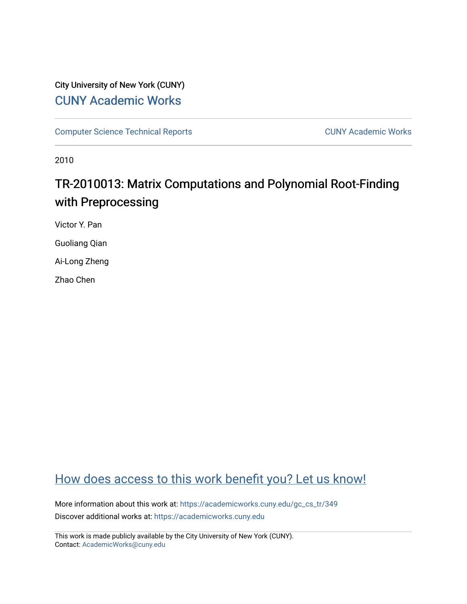# City University of New York (CUNY) [CUNY Academic Works](https://academicworks.cuny.edu/)

[Computer Science Technical Reports](https://academicworks.cuny.edu/gc_cs_tr) **CUNY Academic Works** CUNY Academic Works

2010

# TR-2010013: Matrix Computations and Polynomial Root-Finding with Preprocessing

Victor Y. Pan

Guoliang Qian

Ai-Long Zheng

Zhao Chen

# [How does access to this work benefit you? Let us know!](http://ols.cuny.edu/academicworks/?ref=https://academicworks.cuny.edu/gc_cs_tr/349)

More information about this work at: [https://academicworks.cuny.edu/gc\\_cs\\_tr/349](https://academicworks.cuny.edu/gc_cs_tr/349)  Discover additional works at: [https://academicworks.cuny.edu](https://academicworks.cuny.edu/?)

This work is made publicly available by the City University of New York (CUNY). Contact: [AcademicWorks@cuny.edu](mailto:AcademicWorks@cuny.edu)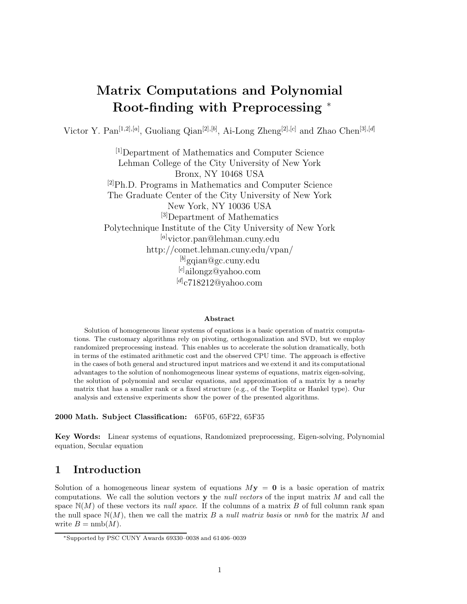# **Matrix Computations and Polynomial Root-finding with Preprocessing** <sup>∗</sup>

Victor Y. Pan[1*,*2]*,*[*a*] , Guoliang Qian[2]*,*[*b*] , Ai-Long Zheng[2]*,*[*c*] and Zhao Chen[3]*,*[*d*]

[1]Department of Mathematics and Computer Science Lehman College of the City University of New York Bronx, NY 10468 USA  $^{[2]}Ph.D.$  Programs in Mathematics and Computer Science The Graduate Center of the City University of New York New York, NY 10036 USA <sup>[3]</sup>Department of Mathematics Polytechnique Institute of the City University of New York [*a*] victor.pan@lehman.cuny.edu http://comet.lehman.cuny.edu/vpan/ [*b*] gqian@gc.cuny.edu [*c*] ailongz@yahoo.com [*d*] c718212@yahoo.com

#### **Abstract**

Solution of homogeneous linear systems of equations is a basic operation of matrix computations. The customary algorithms rely on pivoting, orthogonalization and SVD, but we employ randomized preprocessing instead. This enables us to accelerate the solution dramatically, both in terms of the estimated arithmetic cost and the observed CPU time. The approach is effective in the cases of both general and structured input matrices and we extend it and its computational advantages to the solution of nonhomogeneous linear systems of equations, matrix eigen-solving, the solution of polynomial and secular equations, and approximation of a matrix by a nearby matrix that has a smaller rank or a fixed structure (e.g., of the Toeplitz or Hankel type). Our analysis and extensive experiments show the power of the presented algorithms.

**2000 Math. Subject Classification:** 65F05, 65F22, 65F35

**Key Words:** Linear systems of equations, Randomized preprocessing, Eigen-solving, Polynomial equation, Secular equation

## **1 Introduction**

Solution of a homogeneous linear system of equations  $M$ **y** = **0** is a basic operation of matrix computations. We call the solution vectors **y** the *null vectors* of the input matrix *M* and call the space  $\mathbb{N}(M)$  of these vectors its *null space*. If the columns of a matrix *B* of full column rank span the null space  $\mathbb{N}(M)$ , then we call the matrix *B* a *null matrix basis* or *nmb* for the matrix *M* and write  $B = \text{nmb}(M)$ .

<sup>∗</sup>Supported by PSC CUNY Awards 69330–0038 and 61406–0039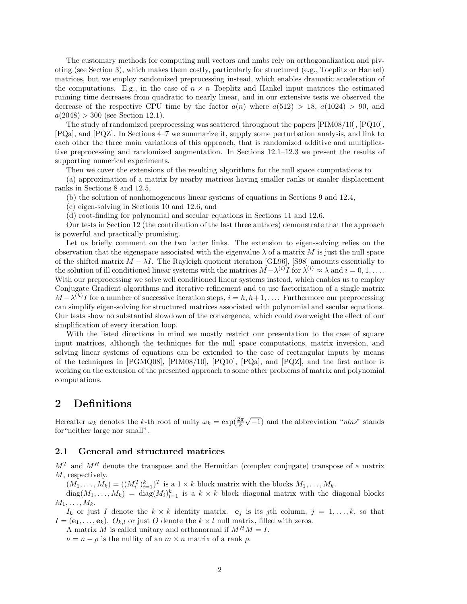The customary methods for computing null vectors and nmbs rely on orthogonalization and pivoting (see Section 3), which makes them costly, particularly for structured (e.g., Toeplitz or Hankel) matrices, but we employ randomized preprocessing instead, which enables dramatic acceleration of the computations. E.g., in the case of  $n \times n$  Toeplitz and Hankel input matrices the estimated running time decreases from quadratic to nearly linear, and in our extensive tests we observed the decrease of the respective CPU time by the factor  $a(n)$  where  $a(512) > 18$ ,  $a(1024) > 90$ , and  $a(2048) > 300$  (see Section 12.1).

The study of randomized preprocessing was scattered throughout the papers [PIM08/10], [PQ10], [PQa], and [PQZ]. In Sections 4–7 we summarize it, supply some perturbation analysis, and link to each other the three main variations of this approach, that is randomized additive and multiplicative preprocessing and randomized augmentation. In Sections 12.1–12.3 we present the results of supporting numerical experiments.

Then we cover the extensions of the resulting algorithms for the null space computations to

(a) approximation of a matrix by nearby matrices having smaller ranks or smaler displacement ranks in Sections 8 and 12.5,

(b) the solution of nonhomogeneous linear systems of equations in Sections 9 and 12.4,

(c) eigen-solving in Sections 10 and 12.6, and

(d) root-finding for polynomial and secular equations in Sections 11 and 12.6.

Our tests in Section 12 (the contribution of the last three authors) demonstrate that the approach is powerful and practically promising.

Let us briefly comment on the two latter links. The extension to eigen-solving relies on the observation that the eigenspace associated with the eigenvalue  $\lambda$  of a matrix  $M$  is just the null space of the shifted matrix  $M - \lambda I$ . The Rayleigh quotient iteration [GL96], [S98] amounts essentially to the solution of ill conditioned linear systems with the matrices  $M - \lambda^{(i)} I$  for  $\lambda^{(i)} \approx \lambda$  and  $i = 0, 1, \ldots$ . With our preprocessing we solve well conditioned linear systems instead, which enables us to employ Conjugate Gradient algorithms and iterative refinement and to use factorization of a single matrix  $M - \lambda^{(h)}I$  for a number of successive iteration steps,  $i = h, h+1, \ldots$ . Furthermore our preprocessing can simplify eigen-solving for structured matrices associated with polynomial and secular equations. Our tests show no substantial slowdown of the convergence, which could overweight the effect of our simplification of every iteration loop.

With the listed directions in mind we mostly restrict our presentation to the case of square input matrices, although the techniques for the null space computations, matrix inversion, and solving linear systems of equations can be extended to the case of rectangular inputs by means of the techniques in [PGMQ08], [PIM08/10], [PQ10], [PQa], and [PQZ], and the first author is working on the extension of the presented approach to some other problems of matrix and polynomial computations.

## **2 Definitions**

Hereafter  $\omega_k$  denotes the *k*-th root of unity  $\omega_k = \exp(\frac{2\pi}{k}\sqrt{-1})$  and the abbreviation "*nlns*" stands for"neither large nor small".

#### **2.1 General and structured matrices**

 $M<sup>T</sup>$  and  $M<sup>H</sup>$  denote the transpose and the Hermitian (complex conjugate) transpose of a matrix *M*, respectively.

 $(M_1, \ldots, M_k) = ((M_i^T)_{i=1}^k)^T$  is a  $1 \times k$  block matrix with the blocks  $M_1, \ldots, M_k$ .

 $diag(M_1, \ldots, M_k) = diag(M_i)_{i=1}^k$  is a  $k \times k$  block diagonal matrix with the diagonal blocks  $M_1, \ldots, M_k$ .

*I*<sub>k</sub> or just *I* denote the  $k \times k$  identity matrix.  $e_j$  is its *j*th column,  $j = 1, \ldots, k$ , so that  $I = (\mathbf{e}_1, \ldots, \mathbf{e}_k)$ .  $O_{k,l}$  or just  $O$  denote the  $k \times l$  null matrix, filled with zeros.

A matrix *M* is called unitary and orthonormal if  $M^H M = I$ .

 $\nu = n - \rho$  is the nullity of an  $m \times n$  matrix of a rank  $\rho$ .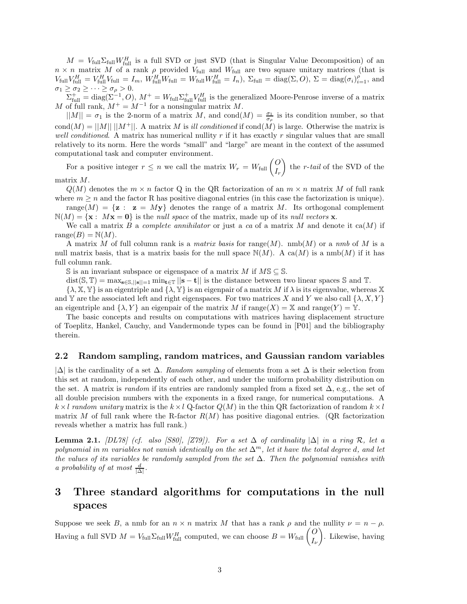$M = V_{\text{full}}\Sigma_{\text{full}}W_{\text{full}}^H$  is a full SVD or just SVD (that is Singular Value Decomposition) of an  $n \times n$  matrix *M* of a rank *ρ* provided  $V_{\text{full}}$  and  $W_{\text{full}}$  are two square unitary matrices (that is  $V_{\text{full}}V_{\text{full}}^H = V_{\text{full}}^H V_{\text{full}} = I_m$ ,  $W_{\text{full}}^H W_{\text{full}} = W_{\text{full}} W_{\text{full}}^H = I_n$ ,  $\Sigma_{\text{full}} = \text{diag}(\Sigma, O)$ ,  $\Sigma = \text{diag}(\sigma_i)_{i=1}^{\rho}$ , and  $\sigma_1 \geq \sigma_2 \geq \cdots \geq \sigma_\rho > 0.$ 

 $\sum_{\text{full}}^{+1} = \text{diag}(\sum_{i=1}^{P} O_i), M^+ = W_{\text{full}}\sum_{\text{full}}^{+} V_{\text{full}}^H$  is the generalized Moore-Penrose inverse of a matrix *M* of full rank,  $M^+ = M^{-1}$  for a nonsingular matrix M.

 $||M|| = \sigma_1$  is the 2-norm of a matrix *M*, and cond $(M) = \frac{\sigma_1}{\sigma_\rho}$  is its condition number, so that  $cond(M) = ||M|| \, ||M^+||$ . A matrix *M* is *ill conditioned* if  $cond(M)$  is large. Otherwise the matrix is *well conditioned*. A matrix has numerical nullity *r* if it has exactly *r* singular values that are small relatively to its norm. Here the words "small" and "large" are meant in the context of the assumed computational task and computer environment.

For a positive integer  $r \leq n$  we call the matrix  $W_r = W_{\text{full}} \begin{pmatrix} O \\ I_r \end{pmatrix}$ - the *r*-*tail* of the SVD of the matrix *M*.

 $Q(M)$  denotes the  $m \times n$  factor Q in the QR factorization of an  $m \times n$  matrix M of full rank where  $m \geq n$  and the factor R has positive diagonal entries (in this case the factorization is unique).

range $(M) = \{z : z = My\}$  denotes the range of a matrix M. Its orthogonal complement  $\mathbb{N}(M) = {\mathbf{x} : M\mathbf{x} = \mathbf{0}}$  is the *null space* of the matrix, made up of its *null vectors* **x**.

We call a matrix *B* a *complete annihilator* or just a *ca* of a matrix *M* and denote it ca(*M*) if  $range(B) = N(M)$ .

A matrix *M* of full column rank is a *matrix basis* for range(*M*). nmb(*M*) or a *nmb* of *M* is a null matrix basis, that is a matrix basis for the null space  $N(M)$ . A ca $(M)$  is a nmb $(M)$  if it has full column rank.

S is an invariant subspace or eigenspace of a matrix  $M$  if  $M\mathbb{S} \subseteq \mathbb{S}$ .

dist(S,  $\mathbb{T}$ ) = max<sub>s∈S,||s||=1</sub> min<sub>t∈</sub> $\mathbb{T}$  ||s − **t**|| is the distance between two linear spaces S and  $\mathbb{T}$ .

 $\{\lambda, \mathbb{X}, \mathbb{Y}\}$  is an eigentriple and  $\{\lambda, \mathbb{Y}\}$  is an eigenpair of a matrix M if  $\lambda$  is its eigenvalue, whereas X and Y are the associated left and right eigenspaces. For two matrices *X* and *Y* we also call  $\{\lambda, X, Y\}$ an eigentriple and  $\{\lambda, Y\}$  an eigenpair of the matrix *M* if  $\text{range}(X) = \mathbb{X}$  and  $\text{range}(Y) = \mathbb{Y}$ .

The basic concepts and results on computations with matrices having displacement structure of Toeplitz, Hankel, Cauchy, and Vandermonde types can be found in [P01] and the bibliography therein.

#### **2.2 Random sampling, random matrices, and Gaussian random variables**

|∆| is the cardinality of a set ∆. *Random sampling* of elements from a set ∆ is their selection from this set at random, independently of each other, and under the uniform probability distribution on the set. A matrix is *random* if its entries are randomly sampled from a fixed set  $\Delta$ , e.g., the set of all double precision numbers with the exponents in a fixed range, for numerical computations. A  $k \times l$  *random unitary* matrix is the  $k \times l$  Q-factor  $Q(M)$  in the thin QR factorization of random  $k \times l$ matrix *M* of full rank where the R-factor  $R(M)$  has positive diagonal entries. (QR factorization reveals whether a matrix has full rank.)

**Lemma 2.1.** *[DL78]* (cf. also [S80], [Z79]). For a set  $\Delta$  of cardinality  $|\Delta|$  *in a ring*  $\mathcal{R}$ *, let a polynomial in m variables not vanish identically on the set* ∆*<sup>m</sup>, let it have the total degree d, and let the values of its variables be randomly sampled from the set* ∆*. Then the polynomial vanishes with a probability of at most*  $\frac{d}{|\Delta|}$ .

## **3 Three standard algorithms for computations in the null spaces**

Suppose we seek *B*, a nmb for an  $n \times n$  matrix *M* that has a rank  $\rho$  and the nullity  $\nu = n - \rho$ . Having a full SVD  $M = V_{\text{full}}\Sigma_{\text{full}}W_{\text{full}}^H$  computed, we can choose  $B = W_{\text{full}}\begin{pmatrix} O \\ I_{\nu} \end{pmatrix}$ - . Likewise, having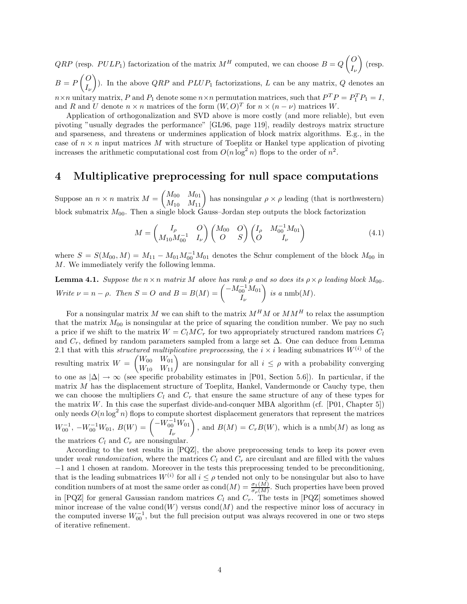*QRP* (resp. *PULP*<sub>1</sub>) factorization of the matrix  $M^H$  computed, we can choose  $B = Q \begin{pmatrix} O & 0 \\ I & I \end{pmatrix}$ *Iν*  $\Big)$  (resp.  $B = P \begin{pmatrix} 0 \\ I \end{pmatrix}$ *Iν* ). In the above  $QRP$  and  $PLUP_1$  factorizations, *L* can be any matrix, *Q* denotes an  $n \times n$  unitary matrix, *P* and *P*<sub>1</sub> denote some  $n \times n$  permutation matrices, such that  $P^{T}P = P_{1}^{T}P_{1} = I$ ,

and *R* and *U* denote  $n \times n$  matrices of the form  $(W, O)^T$  for  $n \times (n - \nu)$  matrices *W*. Application of orthogonalization and SVD above is more costly (and more reliable), but even pivoting "usually degrades the performance" [GL96, page 119], readily destroys matrix structure and sparseness, and threatens or undermines application of block matrix algorithms. E.g., in the case of  $n \times n$  input matrices M with structure of Toeplitz or Hankel type application of pivoting increases the arithmetic computational cost from  $O(n \log^2 n)$  flops to the order of  $n^2$ .

## **4 Multiplicative preprocessing for null space computations**

Suppose an  $n \times n$  matrix  $M = \begin{pmatrix} M_{00} & M_{01} \\ M_{10} & M_{11} \end{pmatrix}$  has nonsingular  $\rho \times \rho$  leading (that is northwestern) block submatrix *M*00. Then a single block Gauss–Jordan step outputs the block factorization

$$
M = \begin{pmatrix} I_{\rho} & O \\ M_{10} M_{00}^{-1} & I_{\nu} \end{pmatrix} \begin{pmatrix} M_{00} & O \\ O & S \end{pmatrix} \begin{pmatrix} I_{\rho} & M_{00}^{-1} M_{01} \\ O & I_{\nu} \end{pmatrix}
$$
(4.1)

where  $S = S(M_{00}, M) = M_{11} - M_{01}M_{00}^{-1}M_{01}$  denotes the Schur complement of the block  $M_{00}$  in *M*. We immediately verify the following lemma.

**Lemma 4.1.** *Suppose the*  $n \times n$  *matrix M above has rank*  $\rho$  *and so does its*  $\rho \times \rho$  *leading block*  $M_{00}$ *. Write*  $\nu = n - \rho$ *. Then*  $S = O$  *and*  $B = B(M) = \begin{pmatrix} -M_{00}^{-1}M_{01} & \mu_{02} & \mu_{03} \\ 0 & -M_{00} & -M_{01} \end{pmatrix}$ *Iν*  $\bigg\}$  is a nmb(M).

For a nonsingular matrix  $M$  we can shift to the matrix  $M^H M$  or  $M M^H$  to relax the assumption that the matrix  $M_{00}$  is nonsingular at the price of squaring the condition number. We pay no such a price if we shift to the matrix  $W = C_l M C_r$  for two appropriately structured random matrices  $C_l$ and  $C_r$ , defined by random parameters sampled from a large set  $\Delta$ . One can deduce from Lemma 2.1 that with this *structured multiplicative preprocessing*, the  $i \times i$  leading submatrices  $W^{(i)}$  of the resulting matrix  $W = \begin{pmatrix} W_{00} & W_{01} \\ W_{10} & W_{11} \end{pmatrix}$  are nonsingular for all  $i \leq \rho$  with a probability converging to one as  $|\Delta| \to \infty$  (see specific probability estimates in [P01, Section 5.6]). In particular, if the matrix *M* has the displacement structure of Toeplitz, Hankel, Vandermonde or Cauchy type, then we can choose the multipliers  $C_l$  and  $C_r$  that ensure the same structure of any of these types for the matrix  $W$ . In this case the superfast divide-and-conquer MBA algorithm (cf. [P01, Chapter 5]) only needs  $O(n \log^2 n)$  flops to compute shortest displacement generators that represent the matrices  $W_{00}^{-1}$ ,  $-W_{00}^{-1}W_{01}$ ,  $B(W) = \begin{pmatrix} -W_{00}^{-1}W_{01} & 0 \\ 0 & 0 & 0 \\ 0 & 0 & 0 \end{pmatrix}$ *Iν* , and  $B(M) = C_r B(W)$ , which is a nmb(M) as long as the matrices  $C_l$  and  $C_r$  are nonsingular.

According to the test results in [PQZ], the above preprocessing tends to keep its power even under *weak randomization*, where the matrices  $C_l$  and  $C_r$  are circulant and are filled with the values −1 and 1 chosen at random. Moreover in the tests this preprocessing tended to be preconditioning, that is the leading submatrices  $W^{(i)}$  for all  $i \leq \rho$  tended not only to be nonsingular but also to have condition numbers of at most the same order as cond $(M) = \frac{\sigma_1(M)}{\sigma_\rho(M)}$ . Such properties have been proved in [PQZ] for general Gaussian random matrices *C<sup>l</sup>* and *Cr*. The tests in [PQZ] sometimes showed minor increase of the value  $\text{cond}(W)$  versus  $\text{cond}(M)$  and the respective minor loss of accuracy in the computed inverse  $W_{00}^{-1}$ , but the full precision output was always recovered in one or two steps of iterative refinement.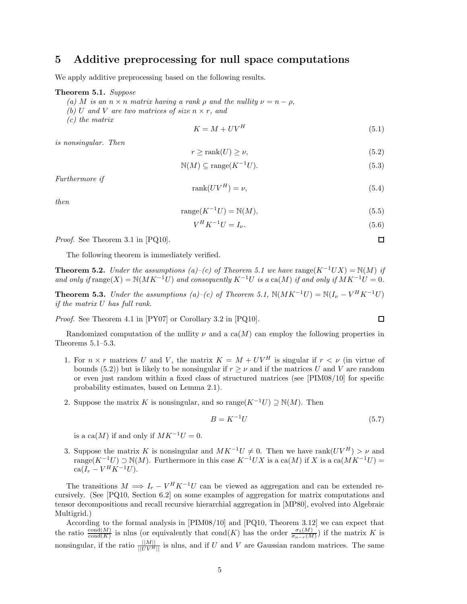## **5 Additive preprocessing for null space computations**

We apply additive preprocessing based on the following results.

#### **Theorem 5.1.** *Suppose*

- $(a)$  *M is an*  $n \times n$  *matrix having a rank*  $\rho$  *and the nullity*  $\nu = n \rho$ ,
- *(b)*  $U$  *and*  $V$  *are two matrices of size*  $n \times r$ *, and*
- *(c) the matrix*

$$
K = M + UV^H \tag{5.1}
$$

*is nonsingular. Then*

$$
r \ge \text{rank}(U) \ge \nu,\tag{5.2}
$$

$$
\mathbb{N}(M) \subseteq \text{range}(K^{-1}U). \tag{5.3}
$$

*Furthermore if*

$$
rank(UV^H) = \nu,\t\t(5.4)
$$

*then*

$$
range(K^{-1}U) = \mathbb{N}(M),\tag{5.5}
$$

$$
V^H K^{-1} U = I_{\nu}.
$$
\n(5.6)

*Proof.* See Theorem 3.1 in [PQ10].

The following theorem is immediately verified.

**Theorem 5.2.** *Under the assumptions (a)–(c) of Theorem 5.1 we have* range $(K^{-1}UX) = N(M)$  *if and only if*  $\text{range}(X) = \mathbb{N}(MK^{-1}U)$  *and consequently*  $K^{-1}U$  *is a* ca(*M*) *if and only if*  $MK^{-1}U = 0$ *.* 

**Theorem 5.3.** *Under the assumptions (a)–(c) of Theorem 5.1,*  $N(MK^{-1}U) = N(I_{\nu} - V^{H}K^{-1}U)$ *if the matrix U has full rank.*

*Proof.* See Theorem 4.1 in [PY07] or Corollary 3.2 in [PQ10].

Randomized computation of the nullity  $\nu$  and a ca( $M$ ) can employ the following properties in Theorems 5.1–5.3.

- 1. For  $n \times r$  matrices *U* and *V*, the matrix  $K = M + UV^H$  is singular if  $r \lt \nu$  (in virtue of bounds (5.2)) but is likely to be nonsingular if  $r \geq \nu$  and if the matrices *U* and *V* are random or even just random within a fixed class of structured matrices (see [PIM08/10] for specific probability estimates, based on Lemma 2.1).
- 2. Suppose the matrix *K* is nonsingular, and so range( $K^{-1}U$ )  $\supset N(M)$ . Then

$$
B = K^{-1}U\tag{5.7}
$$

is a ca( $M$ ) if and only if  $MK^{-1}U = 0$ .

3. Suppose the matrix *K* is nonsingular and  $MK^{-1}U \neq 0$ . Then we have rank $(UV^H) > \nu$  and range( $K^{-1}U$ ) ⊃ N(*M*). Furthermore in this case  $K^{-1}UX$  is a ca(*M*) if *X* is a ca( $MK^{-1}U$ ) =  $ca(I_r - V^H K^{-1} U).$ 

The transitions  $M \implies I_r - V^H K^{-1} U$  can be viewed as aggregation and can be extended recursively. (See [PQ10, Section 6.2] on some examples of aggregation for matrix computations and tensor decompositions and recall recursive hierarchial aggregation in [MP80], evolved into Algebraic Multigrid.)

According to the formal analysis in [PIM08/10] and [PQ10, Theorem 3.12] we can expect that the ratio  $\frac{\text{cond}(M)}{\text{cond}(K)}$  is nlns (or equivalently that cond(*K*) has the order  $\frac{\sigma_1(M)}{\sigma_{n-r}(M)}$ ) if the matrix *K* is nonsingular, if the ratio  $\frac{\|M\|}{\|UV^H\|}$  is nlns, and if *U* and *V* are Gaussian random matrices. The same

$$
\Box
$$

 $\Box$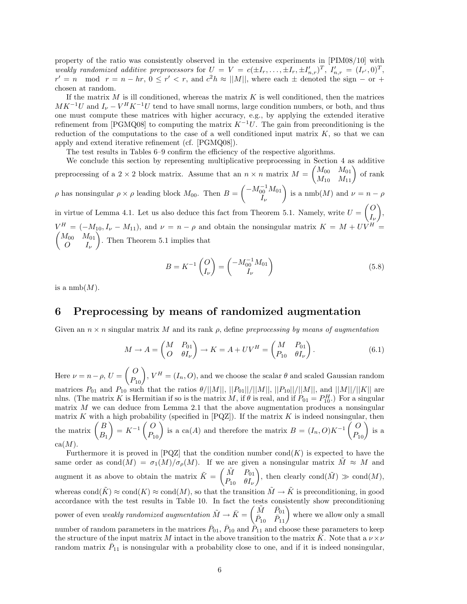property of the ratio was consistently observed in the extensive experiments in [PIM08/10] with weakly randomized additive preprocessors for  $U = V = c(\pm I_r, \ldots, \pm I_r, \pm I'_{n,r})^T$ ,  $I'_{n,r} = (I_{r'}, 0)^T$ ,  $r' = n \mod r = n - hr$ ,  $0 \leq r' < r$ , and  $c^2h \approx ||M||$ , where each  $\pm$  denoted the sign  $-$  or  $+$ chosen at random.

If the matrix  $M$  is ill conditioned, whereas the matrix  $K$  is well conditioned, then the matrices  $MK^{-1}U$  and  $I_{\nu} - V^H K^{-1}U$  tend to have small norms, large condition numbers, or both, and thus one must compute these matrices with higher accuracy, e.g., by applying the extended iterative refinement from [PGMQ08] to computing the matrix  $K^{-1}U$ . The gain from preconditioning is the reduction of the computations to the case of a well conditioned input matrix  $K$ , so that we can apply and extend iterative refinement (cf. [PGMQ08]).

The test results in Tables 6–9 confirm the efficiency of the respective algorithms.

We conclude this section by representing multiplicative preprocessing in Section 4 as additive preprocessing of a 2 × 2 block matrix. Assume that an  $n \times n$  matrix  $M = \begin{pmatrix} M_{00} & M_{01} \\ M_{10} & M_{11} \end{pmatrix}$  of rank *ρ* has nonsingular  $\rho \times \rho$  leading block  $M_{00}$ . Then  $B = \begin{pmatrix} -M_{00}^{-1} M_{01} & \cdots & \cdots & \cdots \\ 0 & M_{00} & \cdots & \cdots \\ 0 & \cdots & \cdots & \cdots \\ 0 & \cdots & \cdots & \cdots \end{pmatrix}$ *Iν* is a nmb(*M*) and  $\nu = n - \rho$ in virtue of Lemma 4.1. Let us also deduce this fact from Theorem 5.1. Namely, write  $U = \begin{pmatrix} 0 & 0 \\ 0 & 0 \end{pmatrix}$ *Iν* - ,  $V^H = (-M_{10}, I_\nu - M_{11}),$  and  $\nu = n - \rho$  and obtain the nonsingular matrix  $K = M + UV^H =$  $/M_{00}$   $M_{01}$ 

*O I<sup>ν</sup>* - . Then Theorem 5.1 implies that

$$
B = K^{-1} \begin{pmatrix} O \\ I_{\nu} \end{pmatrix} = \begin{pmatrix} -M_{00}^{-1} M_{01} \\ I_{\nu} \end{pmatrix}
$$
 (5.8)

is a  $nmb(M)$ .

## **6 Preprocessing by means of randomized augmentation**

Given an *n* × *n* singular matrix *M* and its rank *ρ*, define *preprocessing by means of augmentation*

$$
M \to A = \begin{pmatrix} M & P_{01} \\ O & \theta I_{\nu} \end{pmatrix} \to K = A + UV^H = \begin{pmatrix} M & P_{01} \\ P_{10} & \theta I_{\nu} \end{pmatrix}.
$$
 (6.1)

Here  $\nu = n - \rho$ ,  $U = \begin{pmatrix} O \\ P_{10} \end{pmatrix}$ ,  $V^H = (I_n, O)$ , and we choose the scalar  $\theta$  and scaled Gaussian random matrices  $P_{01}$  and  $P_{10}$  such that the ratios  $\theta/||M||$ ,  $||P_{01}||/||M||$ ,  $||P_{10}||/||M||$ , and  $||M||/||K||$  are nlns. (The matrix *K* is Hermitian if so is the matrix *M*, if  $\theta$  is real, and if  $P_{01} = P_{10}^H$ .) For a singular matrix *M* we can deduce from Lemma 2.1 that the above augmentation produces a nonsingular matrix *K* with a high probability (specified in  $[PQZ]$ ). If the matrix *K* is indeed nonsingular, then the matrix  $\begin{pmatrix} B \\ B_1 \end{pmatrix}$  $\left( \begin{array}{c} P_{10} \ P_{10} \end{array} \right)$  is a ca(*A*) and therefore the matrix  $B = (I_n, O)K^{-1} \begin{pmatrix} O \\ P_{10} \end{pmatrix}$  is a ca(*M*).

Furthermore it is proved in  $[PQZ]$  that the condition number  $cond(K)$  is expected to have the same order as  $\text{cond}(M) = \sigma_1(M)/\sigma_\rho(M)$ . If we are given a nonsingular matrix  $\tilde{M} \approx M$  and augment it as above to obtain the matrix  $\tilde{K} = \begin{pmatrix} \tilde{M} & P_{01} \\ P & \tilde{M} \end{pmatrix}$ *P*<sup>10</sup> *θI<sup>ν</sup>* ), then clearly  $\text{cond}(\tilde{M}) \gg \text{cond}(M)$ , whereas cond $(\tilde{K}) \approx \text{cond}(K) \approx \text{cond}(M)$ , so that the transition  $\tilde{M} \to \tilde{K}$  is preconditioning, in good accordance with the test results in Table 10. In fact the tests consistently show preconditioning power of even *weakly randomized augmentation*  $\tilde{M} \rightarrow \bar{K} = \begin{pmatrix} \tilde{M} & \bar{P}_{01} \ \bar{P} & \bar{P}_{12} \end{pmatrix}$  $\begin{pmatrix} \tilde{M} & \bar{P}_{01} \\ \bar{P}_{10} & \bar{P}_{11} \end{pmatrix}$  where we allow only a small number of random parameters in the matrices  $\bar{P}_{01}$ ,  $\bar{P}_{10}$  and  $\bar{P}_{11}$  and choose these parameters to keep the structure of the input matrix *M* intact in the above transition to the matrix  $\bar{K}$ . Note that a  $\nu \times \nu$ random matrix  $\bar{P}_{11}$  is nonsingular with a probability close to one, and if it is indeed nonsingular,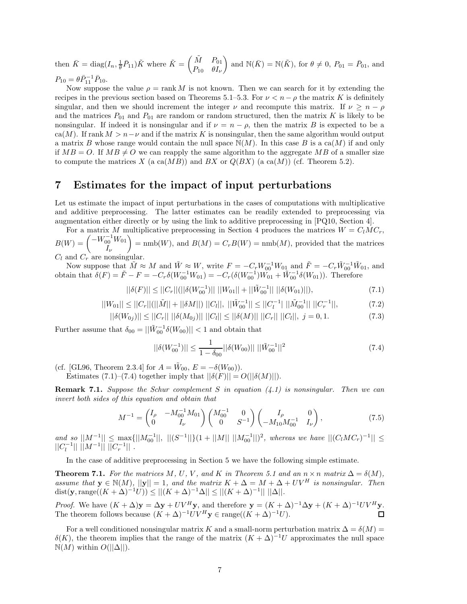then  $\bar{K} = \text{diag}(I_n, \frac{1}{\theta} \bar{P}_{11}) \tilde{K}$  where  $\tilde{K} = \begin{pmatrix} \tilde{M} & P_{01} \\ P_{10} & \theta I \end{pmatrix}$ *P*<sup>10</sup> *θI<sup>ν</sup>* and  $\mathbb{N}(\bar{K}) = \mathbb{N}(\tilde{K})$ , for  $\theta \neq 0$ ,  $P_{01} = \bar{P}_{01}$ , and  $P_{10} = \theta \bar{P}_{11}^{-1} \bar{P}_{10}.$ 

Now suppose the value  $\rho = \text{rank } M$  is not known. Then we can search for it by extending the recipes in the previous section based on Theorems 5.1–5.3. For  $\nu < n - \rho$  the matrix *K* is definitely singular, and then we should increment the integer  $\nu$  and recompute this matrix. If  $\nu \geq n - \rho$ and the matrices  $P_{01}$  and  $P_{01}$  are random or random structured, then the matrix  $K$  is likely to be nonsingular. If indeed it is nonsingular and if  $\nu = n - \rho$ , then the matrix *B* is expected to be a  $ca(M)$ . If rank  $M > n - \nu$  and if the matrix K is nonsingular, then the same algorithm would output a matrix *B* whose range would contain the null space  $N(M)$ . In this case *B* is a ca $(M)$  if and only if  $MB = O$ . If  $MB \neq O$  we can reapply the same algorithm to the aggregate MB of a smaller size to compute the matrices *X* (a ca $(MB)$ ) and *BX* or  $Q(BX)$  (a ca $(M)$ ) (cf. Theorem 5.2).

## **7 Estimates for the impact of input perturbations**

Let us estimate the impact of input perturbations in the cases of computations with multiplicative and additive preprocessing. The latter estimates can be readily extended to preprocessing via augmentation either directly or by using the link to additive preprocessing in [PQ10, Section 4].

For a matrix *M* multiplicative preprocessing in Section 4 produces the matrices  $W = C_l M C_r$ ,  $B(W) = \begin{pmatrix} -W_{00}^{-1}W_{01} & 0 \\ 0 & 0 & 0 \\ 0 & 0 & 0 \end{pmatrix}$ *Iν*  $= \text{nmb}(W)$ , and  $B(M) = C_r B(W) = \text{nmb}(M)$ , provided that the matrices *C<sup>l</sup>* and *C<sup>r</sup>* are nonsingular.

Now suppose that  $\tilde{M} \approx M$  and  $\tilde{W} \approx W$ , write  $F = -C_r W_{00}^{-1} W_{01}$  and  $\tilde{F} = -C_r \tilde{W}_{00}^{-1} \tilde{W}_{01}$ , and obtain that  $\delta(F) = \tilde{F} - F = -C_r \delta(W_{00}^{-1} W_{01}) = -C_r (\delta(W_{00}^{-1}) W_{01}^0 + \tilde{W}_{00}^{-1} \delta(W_{01}))$ . Therefore

$$
||\delta(F)|| \le ||C_r||(||\delta(W_{00}^{-1})|| \, ||W_{01}|| + ||\tilde{W}_{00}^{-1}|| \, ||\delta(W_{01})||), \tag{7.1}
$$

$$
||W_{01}|| \le ||C_r||(||\tilde{M}|| + ||\delta M||) ||C_l||, ||\tilde{W}_{00}^{-1}|| \le ||C_l^{-1}|| \, ||\tilde{M}_{00}^{-1}|| ||C_r^{-1}||,\tag{7.2}
$$

$$
||\delta(W_{0j})|| \le ||C_r|| \, ||\delta(M_{0j})|| \, ||C_l|| \le ||\delta(M)|| \, ||C_r|| \, ||C_l||, \, j = 0, 1. \tag{7.3}
$$

Further assume that  $\delta_{00} = ||\tilde{W}_{00}^{-1}\delta(W_{00})|| < 1$  and obtain that

$$
||\delta(W_{00}^{-1})|| \le \frac{1}{1 - \delta_{00}} ||\delta(W_{00})|| ||\tilde{W}_{00}^{-1}||^2
$$
\n(7.4)

(cf. [GL96, Theorem 2.3.4] for  $A = W_{00}$ ,  $E = -\delta(W_{00})$ .

Estimates (7.1)–(7.4) together imply that  $||\delta(F)|| = O(||\delta(M)||)$ .

**Remark 7.1.** *Suppose the Schur complement S in equation (4.1) is nonsingular. Then we can invert both sides of this equation and obtain that*

$$
M^{-1} = \begin{pmatrix} I_{\rho} & -M_{00}^{-1} M_{01} \\ 0 & I_{\nu} \end{pmatrix} \begin{pmatrix} M_{00}^{-1} & 0 \\ 0 & S^{-1} \end{pmatrix} \begin{pmatrix} I_{\rho} & 0 \\ -M_{10} M_{00}^{-1} & I_{\nu} \end{pmatrix},
$$
(7.5)

 $\int$  *and so* ||M<sup>−1</sup>|| ≤ max{||M<sub>00</sub><sup>-1</sup>||, ||(S<sup>−1</sup>||}(1 + ||M|| ||M<sub>00</sub><sup>-1</sup>||)<sup>2</sup>, whereas we have ||(C<sub>l</sub>MC<sub>r</sub>)<sup>-1</sup>|| ≤  $||C_l^{-1}|| \ ||M^{-1}|| \ \overline{||}C_r^{-1}||$ .

In the case of additive preprocessing in Section 5 we have the following simple estimate.

**Theorem 7.1.** *For the matrices*  $M$ *, U<sub></sub>, V<sub></sub>, and*  $K$  *in Theorem 5.1 and an*  $n \times n$  *matrix*  $\Delta = \delta(M)$ *, assume that*  $\mathbf{y} \in \mathbb{N}(M)$ *,*  $||\mathbf{y}|| = 1$ *, and the matrix*  $K + \Delta = M + \Delta + UV^H$  *is nonsingular. Then* dist(**y**, range( $(K + \Delta)^{-1}U$ )) ≤  $||(K + \Delta)^{-1}\Delta|| \leq ||(K + \Delta)^{-1}|| ||\Delta||$ *.* 

*Proof.* We have  $(K + \Delta)\mathbf{y} = \Delta \mathbf{y} + UV^H \mathbf{y}$ , and therefore  $\mathbf{y} = (K + \Delta)^{-1} \Delta \mathbf{y} + (K + \Delta)^{-1} UV^H \mathbf{y}$ . The theorem follows because  $(K + \Delta)^{-1}UV^H y \in \text{range}((K + \Delta)^{-1}U)$ .

For a well conditioned nonsingular matrix *K* and a small-norm perturbation matrix  $\Delta = \delta(M)$  =  $\delta(K)$ , the theorem implies that the range of the matrix  $(K + \Delta)^{-1}U$  approximates the null space  $\mathbb{N}(M)$  within  $O(||\Delta||)$ .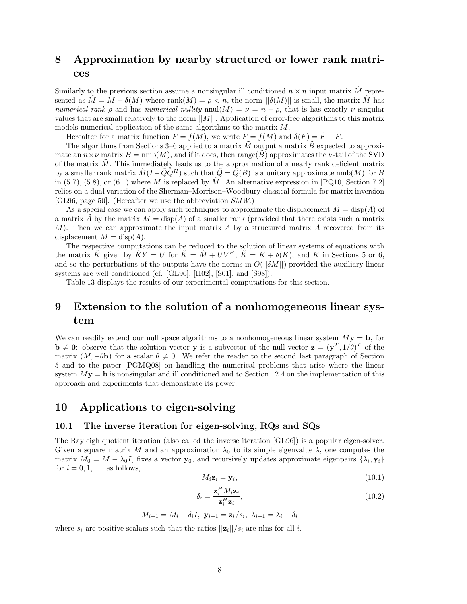## **8 Approximation by nearby structured or lower rank matrices**

Similarly to the previous section assume a nonsingular ill conditioned  $n \times n$  input matrix  $\tilde{M}$  represented as  $\tilde{M} = M + \delta(M)$  where rank $(M) = \rho < n$ , the norm  $||\delta(M)||$  is small, the matrix  $\tilde{M}$  has *numerical rank*  $\rho$  and has *numerical nullity* nnul(*M*) =  $\nu = n - \rho$ , that is has exactly  $\nu$  singular values that are small relatively to the norm ||*M*||. Application of error-free algorithms to this matrix models numerical application of the same algorithms to the matrix *M*.

Hereafter for a matrix function  $F = f(M)$ , we write  $\tilde{F} = f(\tilde{M})$  and  $\delta(F) = \tilde{F} - F$ .

The algorithms from Sections 3–6 applied to a matrix *M* output a matrix *B* expected to approximate an  $n \times \nu$  matrix  $B = \text{nmb}(M)$ , and if it does, then range(*B*) approximates the  $\nu$ -tail of the SVD of the matrix  $\tilde{M}$ . This immediately leads us to the approximation of a nearly rank deficient matrix by a smaller rank matrix  $\tilde{M}(I - \tilde{Q}\tilde{Q}^H)$  such that  $\tilde{Q} = \tilde{Q}(B)$  is a unitary approximate nmb(*M*) for *B* in (5.7), (5.8), or (6.1) where *M* is replaced by *M*. An alternative expression in  $[PQ10, Section 7.2]$ relies on a dual variation of the Sherman–Morrison–Woodbury classical formula for matrix inversion [GL96, page 50]. (Hereafter we use the abbreviation *SMW*.)

As a special case we can apply such techniques to approximate the displacement  $\tilde{M} = \text{disp}(\tilde{A})$  of a matrix  $\tilde{A}$  by the matrix  $M = \text{disp}(A)$  of a smaller rank (provided that there exists such a matrix *M*). Then we can approximate the input matrix *A* by a structured matrix *A* recovered from its displacement  $M = \text{disp}(A)$ .

The respective computations can be reduced to the solution of linear systems of equations with the matrix  $\tilde{K}$  given by  $\tilde{K}Y = U$  for  $\tilde{K} = \tilde{M} + UV^H$ ,  $\tilde{K} = K + \delta(K)$ , and K in Sections 5 or 6, and so the perturbations of the outputs have the norms in  $O(||\delta M||)$  provided the auxiliary linear systems are well conditioned (cf. [GL96], [H02], [S01], and [S98]).

Table 13 displays the results of our experimental computations for this section.

## **9 Extension to the solution of a nonhomogeneous linear system**

We can readily extend our null space algorithms to a nonhomogeneous linear system  $M$ **y** = **b**, for  $\mathbf{b} \neq \mathbf{0}$ : observe that the solution vector **y** is a subvector of the null vector  $\mathbf{z} = (\mathbf{y}^T, 1/\theta)^T$  of the matrix  $(M, -\theta \mathbf{b})$  for a scalar  $\theta \neq 0$ . We refer the reader to the second last paragraph of Section 5 and to the paper [PGMQ08] on handling the numerical problems that arise where the linear system  $My = b$  is nonsingular and ill conditioned and to Section 12.4 on the implementation of this approach and experiments that demonstrate its power.

## **10 Applications to eigen-solving**

#### **10.1 The inverse iteration for eigen-solving, RQs and SQs**

The Rayleigh quotient iteration (also called the inverse iteration [GL96]) is a popular eigen-solver. Given a square matrix *M* and an approximation  $\lambda_0$  to its simple eigenvalue  $\lambda$ , one computes the matrix  $M_0 = M - \lambda_0 I$ , fixes a vector **y**<sub>0</sub>, and recursively updates approximate eigenpairs  $\{\lambda_i, \mathbf{y}_i\}$ for  $i = 0, 1, \ldots$  as follows,

$$
M_i \mathbf{z}_i = \mathbf{y}_i,\tag{10.1}
$$

$$
\delta_i = \frac{\mathbf{z}_i^H M_i \mathbf{z}_i}{\mathbf{z}_i^H \mathbf{z}_i},\tag{10.2}
$$

$$
M_{i+1} = M_i - \delta_i I, \mathbf{y}_{i+1} = \mathbf{z}_i / s_i, \lambda_{i+1} = \lambda_i + \delta_i
$$

where  $s_i$  are positive scalars such that the ratios  $||\mathbf{z}_i||/s_i$  are nlns for all *i*.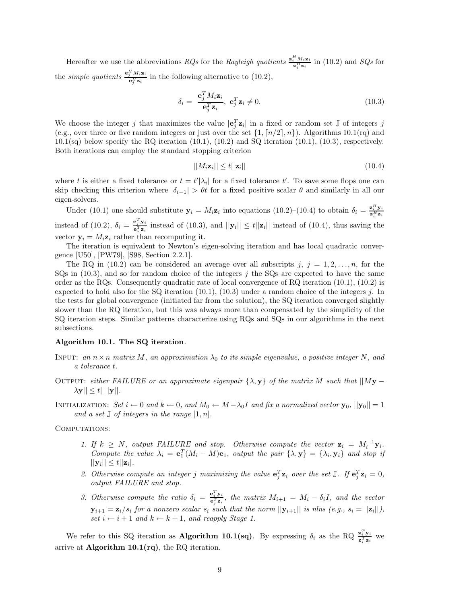Hereafter we use the abbreviations *RQs* for the *Rayleigh quotients*  $\frac{\mathbf{z}_i^H M_i \mathbf{z}_i}{\mathbf{z}_i^H \mathbf{z}_i}$  in (10.2) and *SQs* for the *simple quotients*  $\frac{e_j^H M_i z_i}{e_j^H z_i}$  in the following alternative to (10.2),

$$
\delta_i = \frac{\mathbf{e}_j^T M_i \mathbf{z}_i}{\mathbf{e}_j^T \mathbf{z}_i}, \ \mathbf{e}_j^T \mathbf{z}_i \neq 0. \tag{10.3}
$$

We choose the integer *j* that maximizes the value  $|\mathbf{e}_j^T \mathbf{z}_i|$  in a fixed or random set  $\mathbb{J}$  of integers *j* (e.g., over three or five random integers or just over the set  $\{1, \lceil n/2 \rceil, n\}$ ). Algorithms 10.1(rq) and  $10.1$ (sq) below specify the RQ iteration  $(10.1)$ ,  $(10.2)$  and SQ iteration  $(10.1)$ ,  $(10.3)$ , respectively. Both iterations can employ the standard stopping criterion

$$
||M_i \mathbf{z}_i|| \le t ||\mathbf{z}_i|| \tag{10.4}
$$

where t is either a fixed tolerance or  $t = t'|\lambda_i|$  for a fixed tolerance t'. To save some flops one can skip checking this criterion where  $|\delta_{i-1}| > \theta t$  for a fixed positive scalar  $\theta$  and similarly in all our eigen-solvers.

Under (10.1) one should substitute  $y_i = M_i z_i$  into equations (10.2)–(10.4) to obtain  $\delta_i = \frac{z_i^H y_i}{z_i^H z_i}$ instead of (10.2),  $\delta_i = \frac{\mathbf{e}_j^T \mathbf{y}_i}{\mathbf{e}_j^T \mathbf{z}_i}$  instead of (10.3), and  $||\mathbf{y}_i|| \le t ||\mathbf{z}_i||$  instead of (10.4), thus saving the vector  $y_i = M_i z_i$  rather than recomputing it.

The iteration is equivalent to Newton's eigen-solving iteration and has local quadratic convergence [U50], [PW79], [S98, Section 2.2.1].

The RQ in (10.2) can be considered an average over all subscripts  $j, j = 1, 2, \ldots, n$ , for the SQs in (10.3), and so for random choice of the integers *j* the SQs are expected to have the same order as the RQs. Consequently quadratic rate of local convergence of RQ iteration (10.1), (10.2) is expected to hold also for the SQ iteration (10.1), (10.3) under a random choice of the integers *j*. In the tests for global convergence (initiated far from the solution), the SQ iteration converged slightly slower than the RQ iteration, but this was always more than compensated by the simplicity of the SQ iteration steps. Similar patterns characterize using RQs and SQs in our algorithms in the next subsections.

#### **Algorithm 10.1. The SQ iteration***.*

- INPUT: an  $n \times n$  matrix M, an approximation  $\lambda_0$  to its simple eigenvalue, a positive integer N, and *a tolerance t.*
- OUTPUT: *either FAILURE or an approximate eigenpair*  $\{\lambda, \mathbf{y}\}\$  *of the matrix M* such that  $||My |\lambda \mathbf{y}| \leq t |\mathbf{y}|$ .

INITIALIZATION: *Set*  $i \leftarrow 0$  *and*  $k \leftarrow 0$ *, and*  $M_0 \leftarrow M - \lambda_0 I$  *and* fix a normalized vector  $\mathbf{y}_0$ *,*  $||\mathbf{y}_0|| = 1$ *and a set*  $\mathbb{J}$  *of integers in the range*  $[1, n]$ *.* 

COMPUTATIONS:

- 1. If  $k \geq N$ , output FAILURE and stop. Otherwise compute the vector  $\mathbf{z}_i = M_i^{-1} \mathbf{y}_i$ . *Compute the value*  $\lambda_i = e_1^T (M_i - M) e_1$ *, output the pair*  $\{\lambda, \mathbf{y}\} = \{\lambda_i, \mathbf{y}_i\}$  *and stop if*  $||\mathbf{y}_i|| \leq t ||\mathbf{z}_i|.$
- 2. Otherwise compute an integer *j* maximizing the value  $\mathbf{e}_j^T \mathbf{z}_i$  over the set  $\mathbb{J}$ . If  $\mathbf{e}_j^T \mathbf{z}_i = 0$ , *output FAILURE and stop.*
- *3. Otherwise compute the ratio*  $\delta_i = \frac{e_j^T \mathbf{y}_i}{e_j^T \mathbf{z}_i}$ , the matrix  $M_{i+1} = M_i \delta_i I$ , and the vector **y**<sub>*i*+1</sub> =  $\mathbf{z}_i / s_i$  for a nonzero scalar  $s_i$  such that the norm  $||\mathbf{y}_{i+1}||$  is nlns (e.g.,  $s_i = ||\mathbf{z}_i||$ ), *set*  $i \leftarrow i + 1$  *and*  $k \leftarrow k + 1$ *, and reapply Stage 1.*

We refer to this SQ iteration as **Algorithm 10.1(sq)**. By expressing  $\delta_i$  as the RQ  $\frac{\mathbf{z}_i^T \mathbf{y}_i}{\mathbf{z}_i^T \mathbf{z}_i}$  we arrive at **Algorithm 10.1(rq)**, the RQ iteration.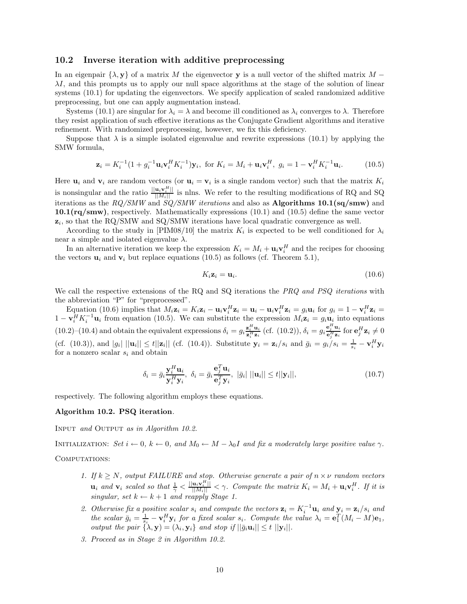#### **10.2 Inverse iteration with additive preprocessing**

In an eigenpair  $\{\lambda, \mathbf{y}\}\$  of a matrix *M* the eigenvector **y** is a null vector of the shifted matrix *M* − *λI*, and this prompts us to apply our null space algorithms at the stage of the solution of linear systems (10.1) for updating the eigenvectors. We specify application of scaled randomized additive preprocessing, but one can apply augmentation instead.

Systems (10.1) are singular for  $\lambda_i = \lambda$  and become ill conditioned as  $\lambda_i$  converges to  $\lambda$ . Therefore they resist application of such effective iterations as the Conjugate Gradient algorithms and iterative refinement. With randomized preprocessing, however, we fix this deficiency.

Suppose that  $\lambda$  is a simple isolated eigenvalue and rewrite expressions (10.1) by applying the SMW formula,

$$
\mathbf{z}_{i} = K_{i}^{-1} (1 + g_{i}^{-1} \mathbf{u}_{i} \mathbf{v}_{i}^{H} K_{i}^{-1}) \mathbf{y}_{i}, \text{ for } K_{i} = M_{i} + \mathbf{u}_{i} \mathbf{v}_{i}^{H}, \ g_{i} = 1 - \mathbf{v}_{i}^{H} K_{i}^{-1} \mathbf{u}_{i}.
$$
 (10.5)

Here  $\mathbf{u}_i$  and  $\mathbf{v}_i$  are random vectors (or  $\mathbf{u}_i = \mathbf{v}_i$  is a single random vector) such that the matrix  $K_i$ is nonsingular and the ratio  $\frac{||\mathbf{u}_i \mathbf{v}_i^H||}{||M_i||}$  is nlns. We refer to the resulting modifications of RQ and SQ iterations as the *RQ/SMW* and *SQ/SMW iterations* and also as **Algorithms 10.1(sq/smw)** and **10.1(rq/smw)**, respectively. Mathematically expressions (10.1) and (10.5) define the same vector  $z_i$ , so that the RQ/SMW and SQ/SMW iterations have local quadratic convergence as well.

According to the study in [PIM08/10] the matrix  $K_i$  is expected to be well conditioned for  $\lambda_i$ near a simple and isolated eigenvalue  $\lambda$ .

In an alternative iteration we keep the expression  $K_i = M_i + \mathbf{u}_i \mathbf{v}_i^H$  and the recipes for choosing the vectors  $\mathbf{u}_i$  and  $\mathbf{v}_i$  but replace equations (10.5) as follows (cf. Theorem 5.1),

$$
K_i \mathbf{z}_i = \mathbf{u}_i. \tag{10.6}
$$

We call the respective extensions of the RQ and SQ iterations the *PRQ and PSQ iterations* with the abbreviation "P" for "preprocessed".

Equation (10.6) implies that  $M_i \mathbf{z}_i = K_i \mathbf{z}_i - \mathbf{u}_i \mathbf{v}_i^H \mathbf{z}_i = \mathbf{u}_i - \mathbf{u}_i \mathbf{v}_i^H \mathbf{z}_i = g_i \mathbf{u}_i$  for  $g_i = 1 - \mathbf{v}_i^H \mathbf{z}_i =$  $1 - \mathbf{v}_i^H K_i^{-1} \mathbf{u}_i$  from equation (10.5). We can substitute the expression  $M_i \mathbf{z}_i = g_i \mathbf{u}_i$  into equations (10.2)–(10.4) and obtain the equivalent expressions  $\delta_i = g_i \frac{\mathbf{z}_i^H \mathbf{u}_i}{\mathbf{z}_i^H \mathbf{z}_i}$  (cf. (10.2)),  $\delta_i = g_i \frac{\mathbf{e}_i^H \mathbf{u}_i}{\mathbf{e}_j^H \mathbf{z}_i}$  for  $\mathbf{e}_j^H \mathbf{z}_i \neq 0$ (cf. (10.3)), and  $|g_i|$   $||\mathbf{u}_i|| \leq t ||\mathbf{z}_i||$  (cf. (10.4)). Substitute  $\mathbf{y}_i = \mathbf{z}_i/s_i$  and  $\bar{g}_i = g_i/s_i = \frac{1}{s_i} - \mathbf{v}_i^H \mathbf{y}_i$ for a nonzero scalar *s<sup>i</sup>* and obtain

$$
\delta_i = \bar{g}_i \frac{\mathbf{y}_i^H \mathbf{u}_i}{\mathbf{y}_i^H \mathbf{y}_i}, \ \delta_i = \bar{g}_i \frac{\mathbf{e}_j^T \mathbf{u}_i}{\mathbf{e}_j^T \mathbf{y}_i}, \ |\bar{g}_i| \ ||\mathbf{u}_i|| \le t ||\mathbf{y}_i||,
$$
\n(10.7)

respectively. The following algorithm employs these equations.

#### **Algorithm 10.2. PSQ iteration***.*

Input *and* Output *as in Algorithm 10.2.*

INITIALIZATION: *Set*  $i \leftarrow 0$ *,*  $k \leftarrow 0$ *, and*  $M_0 \leftarrow M - \lambda_0 I$  *and fix a moderately large positive value*  $\gamma$ *.* 

COMPUTATIONS:

- *1. If*  $k \geq N$ , output FAILURE and stop. Otherwise generate a pair of  $n \times \nu$  random vectors  $\mathbf{u}_i$  and  $\mathbf{v}_i$  scaled so that  $\frac{1}{\gamma} < \frac{||\mathbf{u}_i \mathbf{v}_i^H||}{||M_i||} < \gamma$ . Compute the matrix  $K_i = M_i + \mathbf{u}_i \mathbf{v}_i^H$ . If it is *singular, set*  $k \leftarrow k+1$  *and reapply Stage 1.*
- 2. Otherwise fix a positive scalar  $s_i$  and compute the vectors  $\mathbf{z}_i = K_i^{-1} \mathbf{u}_i$  and  $\mathbf{y}_i = \mathbf{z}_i / s_i$  and the scalar  $\bar{g}_i = \frac{1}{s_i} - \mathbf{v}_i^H \mathbf{y}_i$  for a fixed scalar  $s_i$ . Compute the value  $\lambda_i = \mathbf{e}_1^T (M_i - M) \mathbf{e}_1$ , *output the pair*  $\{\lambda, \mathbf{y}\} = (\lambda_i, \mathbf{y}_i)$  *and stop if*  $||\bar{g}_i \mathbf{u}_i|| \le t$   $||\mathbf{y}_i||$ .
- *3. Proceed as in Stage 2 in Algorithm 10.2.*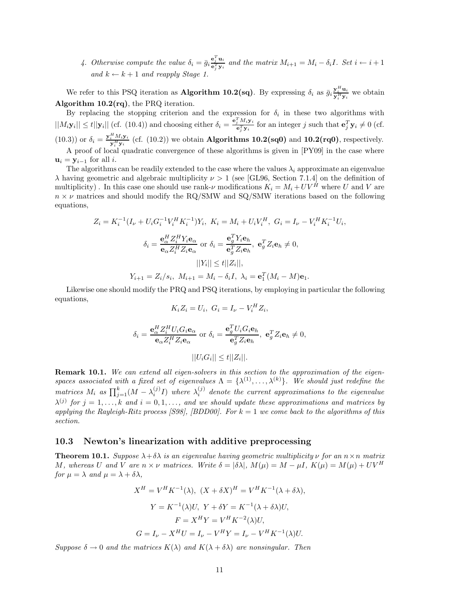4. Otherwise compute the value  $\delta_i = \bar{g}_i \frac{e_j^T u_i}{e_j^T y_i}$  and the matrix  $M_{i+1} = M_i - \delta_i I$ . Set  $i \leftarrow i+1$ *and*  $k \leftarrow k + 1$  *and reapply Stage 1.* 

We refer to this PSQ iteration as **Algorithm 10.2(sq)**. By expressing  $\delta_i$  as  $\bar{g}_i \frac{y_i^H \mathbf{u}_i}{y_i^H y_i}$  we obtain **Algorithm 10.2(rq)**, the PRQ iteration.

By replacing the stopping criterion and the expression for  $\delta_i$  in these two algorithms with  $||M_i \mathbf{y}_i|| \le t ||\mathbf{y}_i||$  (cf. (10.4)) and choosing either  $\delta_i = \frac{\mathbf{e}_j^T M_i \mathbf{y}_i}{\mathbf{e}_j^T \mathbf{y}_i}$  for an integer j such that  $\mathbf{e}_j^T \mathbf{y}_i \ne 0$  (cf. (10.3)) or  $\delta_i = \frac{\mathbf{y}_i^H M_i \mathbf{y}_i}{\mathbf{y}_i^H \mathbf{y}_i}$  (cf. (10.2)) we obtain **Algorithms 10.2(sq0)** and **10.2(rq0)**, respectively. A proof of local quadratic convergence of these algorithms is given in [PY09] in the case where  $\mathbf{u}_i = \mathbf{y}_{i-1}$  for all *i*.

The algorithms can be readily extended to the case where the values  $\lambda_i$  approximate an eigenvalue *λ* having geometric and algebraic multiplicity *ν >* 1 (see [GL96, Section 7.1.4] on the definition of multiplicity). In this case one should use rank- $\nu$  modifications  $K_i = M_i + UV^{\hat{H}}$  where *U* and *V* are  $n \times \nu$  matrices and should modify the RQ/SMW and SQ/SMW iterations based on the following equations,

$$
Z_i = K_i^{-1} (I_{\nu} + U_i G_i^{-1} V_i^H K_i^{-1}) Y_i, \quad K_i = M_i + U_i V_i^H, \quad G_i = I_{\nu} - V_i^H K_i^{-1} U_i,
$$

$$
\delta_i = \frac{\mathbf{e}_{\alpha}^H Z_i^H Y_i \mathbf{e}_{\alpha}}{\mathbf{e}_{\alpha} Z_i^H Z_i \mathbf{e}_{\alpha}} \text{ or } \delta_i = \frac{\mathbf{e}_{g}^T Y_i \mathbf{e}_{h}}{\mathbf{e}_{g}^T Z_i \mathbf{e}_{h}}, \quad \mathbf{e}_{g}^T Z_i \mathbf{e}_{h} \neq 0,
$$

$$
||Y_i|| \le t ||Z_i||,
$$

$$
Y_{i+1} = Z_i / s_i, \quad M_{i+1} = M_i - \delta_i I, \quad \lambda_i = \mathbf{e}_1^T (M_i - M) \mathbf{e}_1.
$$

Likewise one should modify the PRQ and PSQ iterations, by employing in particular the following equations,

$$
K_i Z_i = U_i, \ G_i = I_\nu - V_i^H Z_i,
$$

$$
\delta_i = \frac{\mathbf{e}_{\alpha}^H Z_i^H U_i G_i \mathbf{e}_{\alpha}}{\mathbf{e}_{\alpha} Z_i^H Z_i \mathbf{e}_{\alpha}} \text{ or } \delta_i = \frac{\mathbf{e}_g^T U_i G_i \mathbf{e}_h}{\mathbf{e}_g^T Z_i \mathbf{e}_h}, \ \mathbf{e}_g^T Z_i \mathbf{e}_h \neq 0,
$$

$$
||U_i G_i|| \leq t ||Z_i||.
$$

**Remark 10.1.** *We can extend all eigen-solvers in this section to the approximation of the eigenspaces associated with a fixed set of eigenvalues*  $\Lambda = {\lambda^{(1)}, \ldots, \lambda^{(k)}}$ . We should just redefine the *matrices*  $M_i$  as  $\prod_{j=1}^k (M - \lambda_i^{(j)}I)$  where  $\lambda_i^{(j)}$  denote the current approximations to the eigenvalue  $\lambda^{(j)}$  *for*  $j = 1, \ldots, k$  *and*  $i = 0, 1, \ldots,$  *and we should update these approximations and matrices by applying the Rayleigh-Ritz process [S98], [BDD00]. For k* = 1 *we come back to the algorithms of this section.*

#### **10.3 Newton's linearization with additive preprocessing**

**Theorem 10.1.** *Suppose*  $\lambda + \delta \lambda$  *is an eigenvalue having geometric multiplicity*  $\nu$  *for an*  $n \times n$  *matrix* M, whereas U and V are  $n \times \nu$  matrices. Write  $\delta = |\delta \lambda|$ ,  $M(\mu) = M - \mu I$ ,  $K(\mu) = M(\mu) + UV^H$ *for*  $\mu = \lambda$  *and*  $\mu = \lambda + \delta\lambda$ *,* 

$$
X^H = V^H K^{-1}(\lambda), \ (X + \delta X)^H = V^H K^{-1}(\lambda + \delta \lambda),
$$

$$
Y = K^{-1}(\lambda)U, \ Y + \delta Y = K^{-1}(\lambda + \delta \lambda)U,
$$

$$
F = X^H Y = V^H K^{-2}(\lambda)U,
$$

$$
G = I_{\nu} - X^H U = I_{\nu} - V^H Y = I_{\nu} - V^H K^{-1}(\lambda)U.
$$

*Suppose*  $\delta \to 0$  *and the matrices*  $K(\lambda)$  *and*  $K(\lambda + \delta \lambda)$  *are nonsingular. Then*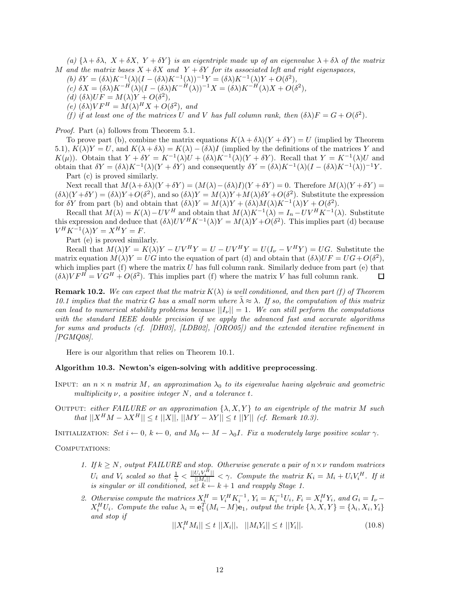*(a)* {*λ* + *δλ, X* + *δX, Y* + *δY* } *is an eigentriple made up of an eigenvalue λ* + *δλ of the matrix M* and the matrix bases  $X + \delta X$  and  $Y + \delta Y$  for its associated left and right eigenspaces,

- *(b)*  $\delta Y = (\delta \lambda) K^{-1}(\lambda) (I (\delta \lambda) K^{-1}(\lambda))^{-1} Y = (\delta \lambda) K^{-1}(\lambda) Y + O(\delta^2)$ ,
- $(c) \delta X = (\delta \lambda) K^{-H} (\lambda) (I (\delta \lambda) K^{-H} (\lambda))^{-1} X = (\delta \lambda) K^{-H} (\lambda) X + O(\delta^2),$

 $(d)$   $(\delta \lambda)$ *UF* =  $M(\lambda)Y + O(\delta^2)$ ,

 $\chi(e)$   $(\delta \lambda)VF^H = M(\lambda)^H X + O(\delta^2)$ *, and* 

*(f)* if at least one of the matrices *U* and *V* has full column rank, then  $(\delta \lambda)F = G + O(\delta^2)$ .

*Proof.* Part (a) follows from Theorem 5.1.

To prove part (b), combine the matrix equations  $K(\lambda + \delta \lambda)(Y + \delta Y) = U$  (implied by Theorem 5.1),  $K(\lambda)Y = U$ , and  $K(\lambda + \delta\lambda) = K(\lambda) - (\delta\lambda)I$  (implied by the definitions of the matrices Y and *K*(*µ*)). Obtain that  $Y + \delta Y = K^{-1}(\lambda)U + (\delta \lambda)K^{-1}(\lambda)(Y + \delta Y)$ . Recall that  $Y = K^{-1}(\lambda)U$  and obtain that *δY* = (*δλ*)*K*−1(*λ*)(*Y* + *δY* ) and consequently *δY* = (*δλ*)*K*−1(*λ*)(*I* − (*δλ*)*K*−1(*λ*))−1*Y* .

Part (c) is proved similarly.

Next recall that  $M(\lambda + \delta \lambda)(Y + \delta Y) = (M(\lambda) - (\delta \lambda)I)(Y + \delta Y) = 0$ . Therefore  $M(\lambda)(Y + \delta Y) =$  $(\delta \lambda)(Y + \delta Y) = (\delta \lambda)Y + O(\delta^2)$ , and so  $(\delta \lambda)Y = M(\lambda)Y + M(\lambda)\delta Y + O(\delta^2)$ . Substitute the expression for *δY* from part (b) and obtain that  $(\delta \lambda)Y = M(\lambda)Y + (\delta \lambda)M(\lambda)K^{-1}(\lambda)Y + O(\delta^2)$ .

Recall that  $M(\lambda) = K(\lambda) - UV^H$  and obtain that  $M(\lambda)K^{-1}(\lambda) = I_n - UV^H K^{-1}(\lambda)$ . Substitute this expression and deduce that  $(\delta \lambda)UV^H K^{-1}(\lambda)Y = M(\lambda)Y + O(\delta^2)$ . This implies part (d) because  $V^H K^{-1}(\lambda) Y = X^H Y = F.$ 

Part (e) is proved similarly.

 $Recall that M(\lambda)Y = K(\lambda)Y - UV^HY = U - UV^HY = U(I_{\nu} - V^HY) = UG.$  Substitute the matrix equation  $M(\lambda)Y = UG$  into the equation of part (d) and obtain that  $(\delta \lambda)UF = UG + O(\delta^2)$ , which implies part (f) where the matrix *U* has full column rank. Similarly deduce from part (e) that  $(\delta \lambda) V F^H = V G^H + O(\delta^2)$ . This implies part (f) where the matrix *V* has full column rank. 口

**Remark 10.2.** We can expect that the matrix  $K(\lambda)$  is well conditioned, and then part (f) of Theorem *10.1 implies that the matrix G has a small norm where*  $\lambda \approx \lambda$ *. If so, the computation of this matrix can lead to numerical stability problems because*  $||I_\nu|| = 1$ *. We can still perform the computations with the standard IEEE double precision if we apply the advanced fast and accurate algorithms for sums and products (cf. [DH03], [LDB02], [ORO05]) and the extended iterative refinement in [PGMQ08].*

Here is our algorithm that relies on Theorem 10.1.

#### **Algorithm 10.3. Newton's eigen-solving with additive preprocessing***.*

- INPUT: an  $n \times n$  matrix M, an approximation  $\lambda_0$  to its eigenvalue having algebraic and geometric *multiplicity ν, a positive integer N, and a tolerance t.*
- OUTPUT: *either FAILURE or an approximation*  $\{\lambda, X, Y\}$  *to an eigentriple of the matrix M such*  $that$   $||X^H M - \lambda X^H|| \le t$   $||X||$ ,  $||MY - \lambda Y|| \le t$   $||Y||$  *(cf. Remark 10.3).*

INITIALIZATION: *Set*  $i \leftarrow 0$ *,*  $k \leftarrow 0$ *, and*  $M_0 \leftarrow M - \lambda_0 I$ *. Fix a moderately large positive scalar*  $\gamma$ *.* 

#### COMPUTATIONS:

- *1. If*  $k \geq N$ , output FAILURE and stop. Otherwise generate a pair of  $n \times \nu$  random matrices  $U_i$  and  $V_i$  scaled so that  $\frac{1}{\gamma} < \frac{||U_i V_i^H||}{||M_i||} < \gamma$ . Compute the matrix  $K_i = M_i + U_i V_i^H$ . If it *is singular or ill conditioned, set*  $k \leftarrow k+1$  *and reapply Stage 1.*
- 2. Otherwise compute the matrices  $X_{\underline{i}}^H = V_i^H K_i^{-1}$ ,  $Y_i = K_i^{-1} U_i$ ,  $F_i = X_i^H Y_i$ , and  $G_i = I_{\nu}$  $X_i^H U_i$ . Compute the value  $\lambda_i = \mathbf{e}_1^T (M_i - M)\mathbf{e}_1$ , output the triple  $\{\lambda, X, Y\} = \{\lambda_i, X_i, Y_i\}$ *and stop if*

$$
||X_i^H M_i|| \le t ||X_i||, ||M_i Y_i|| \le t ||Y_i||. \tag{10.8}
$$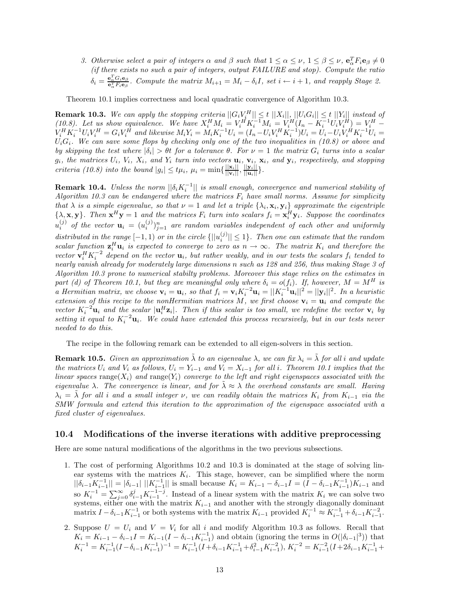*3. Otherwise select a pair of integers*  $\alpha$  *and*  $\beta$  *such that*  $1 \leq \alpha \leq \nu$ ,  $1 \leq \beta \leq \nu$ ,  $\mathbf{e}_\alpha^T F_i \mathbf{e}_\beta \neq 0$ *(if there exists no such a pair of integers, output FAILURE and stop). Compute the ratio*  $\delta_i = \frac{e_{\alpha}^T G_i e_{\beta}}{e_{\alpha}^T F_i e_{\beta}}$ . Compute the matrix  $M_{i+1} = M_i - \delta_i I$ , set  $i \leftarrow i+1$ , and reapply Stage 2.

Theorem 10.1 implies correctness and local quadratic convergence of Algorithm 10.3.

**Remark 10.3.** We can apply the stopping criteria  $||G_iV_i^H|| \leq t ||X_i||,$   $||U_iG_i|| \leq t ||Y_i||$  instead of (10.8). Let us show equivalence. We have  $X_i^H M_i = V_i^H K_i^{-1} M_i = V_i^H (I_n - K_i^{-1} U_i V_i^H) = V_i^H V_i^H K_i^{-1} U_i V_i^H = G_i V_i^{\hat{H}}$  and likewise  $M_i Y_i = M_i K_i^{-1} U_i = (I_n - U_i V_i^H K_i^{-1}) U_i = U_i - U_i V_i^H K_i^{-1} U_i =$  $U_iG_i$ *. We can save some flops by checking only one of the two inequalities in (10.8) or above and by skipping the test where* |*δi*| *> θt for a tolerance θ. For ν* = 1 *the matrix G<sup>i</sup> turns into a scalar*  $g_i$ , the matrices  $U_i$ ,  $V_i$ ,  $X_i$ , and  $Y_i$  turn into vectors  $\mathbf{u}_i$ ,  $\mathbf{v}_i$ ,  $\mathbf{x}_i$ , and  $\mathbf{y}_i$ , respectively, and stopping *criteria (10.8) into the bound*  $|g_i| \leq t\mu_i$ ,  $\mu_i = \min\{\frac{||\mathbf{x}_i||}{||\mathbf{v}_i||}, \frac{||\mathbf{y}_i||}{||\mathbf{u}_i||}\}.$ 

**Remark 10.4.** *Unless the norm*  $||\delta_i K_i^{-1}||$  *is small enough, convergence and numerical stability of Algorithm 10.3 can be endangered where the matrices F<sup>i</sup> have small norms. Assume for simplicity that*  $\lambda$  *is a simple eigenvalue, so that*  $\nu = 1$  *and let a triple*  $\{\lambda_i, \mathbf{x}_i, \mathbf{y}_i\}$  *approximate the eigentriple*  $\{\lambda, \mathbf{x}, \mathbf{y}\}\$ . Then  $\mathbf{x}^H \mathbf{y} = 1$  and the matrices  $F_i$  turn into scalars  $f_i = \mathbf{x}_i^H \mathbf{y}_i$ . Suppose the coordinates  $u_i^{(j)}$  of the vector  $\mathbf{u}_i = (u_i^{(j)})_{j=1}^n$  are random variables independent of each other and uniformly *distributed in the range*  $[-1, 1)$  *or in the circle*  $\{||u_i^{(j)}|| \leq 1\}$ *. Then one can estimate that the random scalar function*  $z_i^H u_i$  *is expected to converge to zero as*  $n \to \infty$ *. The matrix*  $K_i$  *and therefore the vector*  $\mathbf{v}_i^H K_i^{-2}$  *depend on the vector*  $\mathbf{u}_i$ *, but rather weakly, and in our tests the scalars*  $f_i$  *tended to nearly vanish already for moderately large dimensions n such as 128 and 256, thus making Stage 3 of Algorithm 10.3 prone to numerical stabilty problems. Moreover this stage relies on the estimates in part (d) of Theorem 10.1, but they are meaningful only where*  $\delta_i = o(f_i)$ *. If, however,*  $M = M^H$  *is* a Hermitian matrix, we choose  $\mathbf{v}_i = \mathbf{u}_i$ , so that  $f_i = \mathbf{v}_i K_i^{-2} \mathbf{u}_i = ||K_i^{-1} \mathbf{u}_i||^2 = ||\mathbf{y}_i||^2$ . In a heuristic *extension of this recipe to the nonHermitian matrices*  $M$ *, we first choose*  $\mathbf{v}_i = \mathbf{u}_i$  *and compute the vector*  $K_i^{-2}$  **u**<sub>*i*</sub> and the scalar  $|\mathbf{u}_i^H \mathbf{z}_i|$ . Then if this scalar is too small, we redefine the vector  $\mathbf{v}_i$  by *setting it equal to*  $K_i^{-2}$ **u**<sub>*i</sub></sub>. We could have extended this process recursively, but in our tests never*</sub> *needed to do this.*

The recipe in the following remark can be extended to all eigen-solvers in this section.

**Remark 10.5.** *Given an approximation*  $\tilde{\lambda}$  *to an eigenvalue*  $\lambda$ *, we can fix*  $\lambda_i = \tilde{\lambda}$  *for all i* and update the matrices  $U_i$  and  $V_i$  as follows,  $U_i = Y_{i-1}$  and  $V_i = X_{i-1}$  for all i. Theorem 10.1 implies that the *linear spaces* range $(X_i)$  *and* range $(Y_i)$  *converge to the left and right eigenspaces associated with the eigenvalue*  $\lambda$ *. The convergence is linear, and for*  $\tilde{\lambda} \approx \lambda$  *the overhead constants are small. Having*  $\lambda_i = \tilde{\lambda}$  *for all i and a small integer ν, we can readily obtain the matrices*  $K_i$  *from*  $K_{i-1}$  *via the SMW formula and extend this iteration to the approximation of the eigenspace associated with a fixed cluster of eigenvalues.*

#### **10.4 Modifications of the inverse iterations with additive preprocessing**

Here are some natural modifications of the algorithms in the two previous subsections.

- 1. The cost of performing Algorithms 10.2 and 10.3 is dominated at the stage of solving linear systems with the matrices  $K_i$ . This stage, however, can be simplified where the norm  $||\delta_{i-1}K_{i-1}^{-1}|| = |\delta_{i-1}| ||K_{i-1}^{-1}||$  is small because  $K_i = K_{i-1} - \delta_{i-1}I = (I - \delta_{i-1}K_{i-1}^{-1})K_{i-1}$  and so  $K_i^{-1} = \sum_{j=0}^{\infty} \delta_{i-1}^j K_{i-1}^{-1-j}$ . Instead of a linear system with the matrix  $K_i$  we can solve two systems, either one with the matrix  $K_{i-1}$  and another with the strongly diagonally dominant  $\lim_{i \to \infty} I - \delta_{i-1} K_{i-1}^{-1}$  or both systems with the matrix  $K_{i-1}$  provided  $K_i^{-1} \approx K_{i-1}^{-1} + \delta_{i-1} K_{i-1}^{-2}$ .
- 2. Suppose  $U = U_i$  and  $V = V_i$  for all *i* and modify Algorithm 10.3 as follows. Recall that  $K_i = K_{i-1} - \delta_{i-1}I = K_{i-1}(I - \delta_{i-1}K_{i-1}^{-1})$  and obtain (ignoring the terms in  $O(|\delta_{i-1}|^3)$ ) that  $K_i^{-1} = K_{i-1}^{-1} (I - \delta_{i-1} K_{i-1}^{-1})^{-1} = K_{i-1}^{-1} (I + \delta_{i-1} K_{i-1}^{-1} + \delta_{i-1}^2 K_{i-1}^{-2}), \, K_i^{-2} = K_{i-1}^{-2} (I + 2\delta_{i-1} K_{i-1}^{-1} + \delta_{i-1}^2 K_{i-1}^{-2})$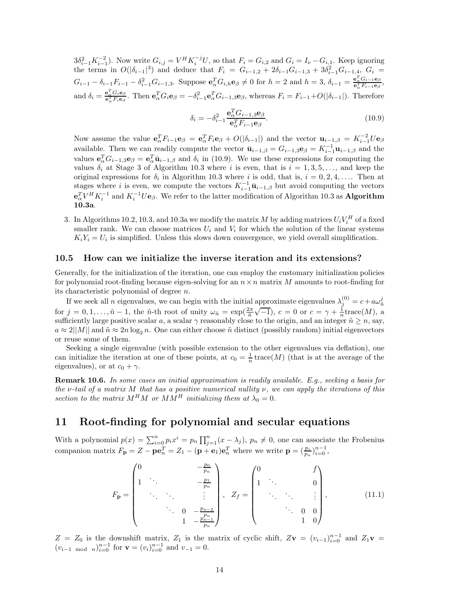$3\delta_{i-1}^2 K_{i-1}^{-2}$ ). Now write  $G_{i,j} = V^H K_i^{-j} U$ , so that  $F_i = G_{i,2}$  and  $G_i = I_{\nu} - G_{i,1}$ . Keep ignoring the terms in  $O(|\delta_{i-1}|^3)$  and deduce that  $F_i = G_{i-1,2} + 2\delta_{i-1}G_{i-1,3} + 3\delta_{i-1}^2G_{i-1,4}$ ,  $G_i =$  $G_{i-1} - \delta_{i-1}F_{i-1} - \delta_{i-1}^2G_{i-1,3}$ . Suppose  $\mathbf{e}_{\alpha}^T G_{i,h} \mathbf{e}_{\beta} \neq 0$  for  $h = 2$  and  $h = 3$ ,  $\delta_{i-1} = \frac{\mathbf{e}_{\alpha}^T G_{i-1} \mathbf{e}_{\beta}}{\mathbf{e}_{\alpha}^T F_{i-1} \mathbf{e}_{\beta}}$ , and  $\delta_i = \frac{\mathbf{e}_{\alpha}^T G_i \mathbf{e}_{\beta}}{\mathbf{e}_{\alpha}^T F_i \mathbf{e}_{\beta}}$ . Then  $\mathbf{e}_{\alpha}^T G_i \mathbf{e}_{\beta} = -\delta_{i-1}^2 \mathbf{e}_{\alpha}^T G_{i-1,3} \mathbf{e}_{\beta}$ , whereas  $F_i = F_{i-1} + O(|\delta_{i-1}|)$ . Therefore

$$
\delta_i = -\delta_{i-1}^2 \frac{\mathbf{e}_\alpha^T G_{i-1,3} \mathbf{e}_\beta}{\mathbf{e}_\alpha^T F_{i-1} \mathbf{e}_\beta}.
$$
\n(10.9)

Now assume the value  $\mathbf{e}_{\alpha}^T F_{i-1} \mathbf{e}_{\beta} = \mathbf{e}_{\alpha}^T F_i \mathbf{e}_{\beta} + O(|\delta_{i-1}|)$  and the vector  $\mathbf{u}_{i-1,\beta} = K_{i-1}^{-2} U \mathbf{e}_{\beta}$ available. Then we can readily compute the vector  $\bar{\mathbf{u}}_{i-1,\beta} = G_{i-1,3} \mathbf{e}_{\beta} = K_{i-1}^{-1} \mathbf{u}_{i-1,\beta}$  and the values  $\mathbf{e}_{\alpha}^T G_{i-1,3} \mathbf{e}_{\beta} = \mathbf{e}_{\alpha}^T \bar{\mathbf{u}}_{i-1,\beta}$  and  $\delta_i$  in (10.9). We use these expressions for computing the values  $\delta_i$  at Stage 3 of Algorithm 10.3 where *i* is even, that is  $i = 1, 3, 5, \ldots$ , and keep the original expressions for  $\delta_i$  in Algorithm 10.3 where *i* is odd, that is,  $i = 0, 2, 4, \ldots$ . Then at stages where *i* is even, we compute the vectors  $K_{i-1}^{-1}$ **ū**<sub>*i*−1</sub>,*β* but avoid computing the vectors  $e^T_\alpha V^H K_i^{-1}$  and  $K_i^{-1} U e_\beta$ . We refer to the latter modification of Algorithm 10.3 as **Algorithm 10.3a**.

3. In Algorithms 10.2, 10.3, and 10.3a we modify the matrix *M* by adding matrices  $U_i V_i^H$  of a fixed smaller rank. We can choose matrices  $U_i$  and  $V_i$  for which the solution of the linear systems  $K_i Y_i = U_i$  is simplified. Unless this slows down convergence, we yield overall simplification.

#### **10.5 How can we initialize the inverse iteration and its extensions?**

Generally, for the initialization of the iteration, one can employ the customary initialization policies for polynomial root-finding because eigen-solving for an  $n \times n$  matrix M amounts to root-finding for its characteristic polynomial of degree *n*.

If we seek all *n* eigenvalues, we can begin with the initial approximate eigenvalues  $\lambda_j^{(0)} = c + a\omega_n^j$  for  $j = 0, 1, ..., \tilde{n} - 1$ , the  $\tilde{n}$ -th root of unity  $\omega_{\tilde{n}} = \exp(\frac{2\pi}{\tilde{n}}\sqrt{-1})$ ,  $c = 0$  or  $c = \gamma + \frac{1}{n}\text{trace}(M)$ sufficiently large positive scalar *a*, a scalar  $\gamma$  reasonably close to the origin, and an integer  $\tilde{n} \geq n$ , say,  $a \approx 2||M||$  and  $\tilde{n} \approx 2n \log_2 n$ . One can either choose  $\tilde{n}$  distinct (possibly random) initial eigenvectors or reuse some of them.

Seeking a single eigenvalue (with possible extension to the other eigenvalues via deflation), one can initialize the iteration at one of these points, at  $c_0 = \frac{1}{n}$  trace(*M*) (that is at the average of the eigenvalues), or at  $c_0 + \gamma$ .

**Remark 10.6.** *In some cases an initial approximation is readily available. E.g., seeking a basis for the ν-tail of a matrix M that has a positive numerical nullity ν, we can apply the iterations of this section to the matrix*  $M^H M$  *or*  $M M^H$  *initializing them at*  $\lambda_0 = 0$ *.* 

## **11 Root-finding for polynomial and secular equations**

With a polynomial  $p(x) = \sum_{i=0}^{n} p_i x^i = p_n \prod_{j=1}^{n} (x - \lambda_j)$ ,  $p_n \neq 0$ , one can associate the Frobenius companion matrix  $F_{\mathbf{p}} = Z - \mathbf{p} \mathbf{e}_n^T = Z_1 - (\mathbf{p} + \mathbf{e}_1) \mathbf{e}_n^T$  where we write  $\mathbf{p} = (\frac{p_i}{p_n})_{i=0}^{n-1}$ ,

$$
F_{\mathbf{p}} = \begin{pmatrix} 0 & & -\frac{p_0}{p_n} \\ 1 & & & -\frac{p_1}{p_n} \\ & & \ddots & & \vdots \\ & & \ddots & & \vdots \\ & & & 0 & -\frac{p_{n-2}}{p_n} \\ & & & 1 & -\frac{p_{n-1}}{p_n} \end{pmatrix}, \quad Z_f = \begin{pmatrix} 0 & & f \\ 1 & & & & 0 \\ & & \ddots & & \vdots \\ & & & \ddots & & \vdots \\ & & & & 0 & 0 \\ & & & & 1 & 0 \end{pmatrix}, \tag{11.1}
$$

 $Z = Z_0$  is the downshift matrix,  $Z_1$  is the matrix of cyclic shift,  $Z$ **v** =  $(v_{i-1})_{i=0}^{n-1}$  and  $Z_1$ **v** =  $(v_{i-1} \mod n)_{i=0}^{n-1}$  for  $\mathbf{v} = (v_i)_{i=0}^{n-1}$  and  $v_{-1} = 0$ .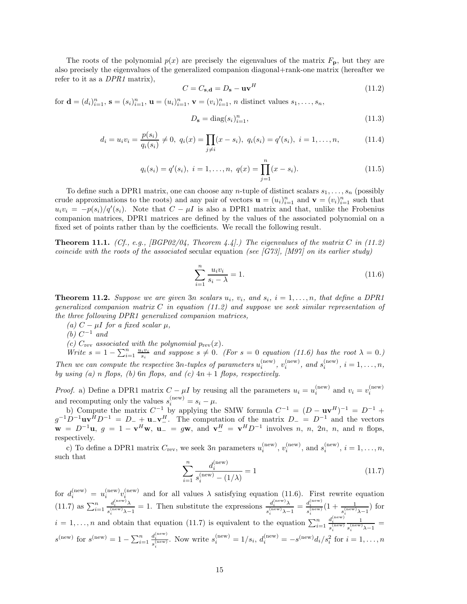The roots of the polynomial  $p(x)$  are precisely the eigenvalues of the matrix  $F_{\rm p}$ , but they are also precisely the eigenvalues of the generalized companion diagonal+rank-one matrix (hereafter we refer to it as a *DPR1* matrix),

$$
C = C_{\mathbf{s}, \mathbf{d}} = D_{\mathbf{s}} - \mathbf{u}\mathbf{v}^H \tag{11.2}
$$

for  $\mathbf{d} = (d_i)_{i=1}^n$ ,  $\mathbf{s} = (s_i)_{i=1}^n$ ,  $\mathbf{u} = (u_i)_{i=1}^n$ ,  $\mathbf{v} = (v_i)_{i=1}^n$ , *n* distinct values  $s_1, \ldots, s_n$ ,

$$
D_{\mathbf{s}} = \text{diag}(s_i)_{i=1}^n,\tag{11.3}
$$

$$
d_i = u_i v_i = \frac{p(s_i)}{q_i(s_i)} \neq 0, \ q_i(x) = \prod_{j \neq i} (x - s_i), \ q_i(s_i) = q'(s_i), \ i = 1, \dots, n,
$$
\n(11.4)

$$
q_i(s_i) = q'(s_i), \ i = 1, \dots, n, \ q(x) = \prod_{j=1}^n (x - s_i).
$$
 (11.5)

To define such a DPR1 matrix, one can choose any *n*-tuple of distinct scalars *s*1*,...,s<sup>n</sup>* (possibly crude approximations to the roots) and any pair of vectors  $\mathbf{u} = (u_i)_{i=1}^n$  and  $\mathbf{v} = (v_i)_{i=1}^n$  such that  $u_i v_i = -p(s_i)/q'(s_i)$ . Note that  $C - \mu I$  is also a DPR1 matrix and that, unlike the Frobenius companion matrices, DPR1 matrices are defined by the values of the associated polynomial on a fixed set of points rather than by the coefficients. We recall the following result.

**Theorem 11.1.** *(Cf., e.g., [BGP02/04, Theorem 4.4].) The eigenvalues of the matrix C in (11.2) coincide with the roots of the associated* secular equation *(see [G73], [M97] on its earlier study)*

$$
\sum_{i=1}^{n} \frac{u_i v_i}{s_i - \lambda} = 1.
$$
\n(11.6)

**Theorem 11.2.** *Suppose we are given* 3*n scalars*  $u_i$ *,*  $v_i$ *,* and  $s_i$ *,*  $i = 1, \ldots, n$ *, that define a DPR1 generalized companion matrix C in equation (11.2) and suppose we seek similar representation of the three following DPR1 generalized companion matrices,*

 $(a)$  *C* −  $\mu$ *I for a fixed scalar*  $\mu$ *,* 

 $(b)$   $C^{-1}$  *and* 

*(c)*  $C_{\text{rev}}$  *associated with the polynomial*  $p_{\text{rev}}(x)$ *.* 

*Write*  $s = 1 - \sum_{i=1}^{n} \frac{u_i v_i}{s_i}$  and suppose  $s \neq 0$ . (For  $s = 0$  equation (11.6) has the root  $\lambda = 0$ *.) Then we can compute the respective*  $3n$ *-tuples of parameters*  $u_i^{(\text{new})}$ *,*  $v_i^{(\text{new})}$ *, and*  $s_i^{(\text{new})}$ *,*  $i = 1, \ldots, n$ *, by using (a) n flops, (b)* 6*n flops, and (c)* 4*n* + 1 *flops, respectively.*

*Proof.* a) Define a DPR1 matrix  $C - \mu I$  by reusing all the parameters  $u_i = u_i^{\text{(new)}}$  and  $v_i = v_i^{\text{(new)}}$ *i* and recomputing only the values  $s_i^{(\text{new})} = s_i - \mu$ .

b) Compute the matrix  $C^{-1}$  by applying the SMW formula  $C^{-1} = (D - \mathbf{u}\mathbf{v}^H)^{-1} = D^{-1} +$  $g^{-1}D^{-1}u\mathbf{v}^H D^{-1} = D_- + \mathbf{u}_-\mathbf{v}^H$ . The computation of the matrix  $D_- = D^{-1}$  and the vectors  $\mathbf{w} = D^{-1}\mathbf{u}, g = 1 - \mathbf{v}^H\mathbf{w}, \mathbf{u} = g\mathbf{w}, \text{ and } \mathbf{v}^H = \mathbf{v}^H D^{-1}$  involves *n*, *n*, 2*n*, *n*, and *n* flops, respectively.

c) To define a DPR1 matrix  $C_{\text{rev}}$ , we seek 3*n* parameters  $u_i^{(\text{new})}$ ,  $v_i^{(\text{new})}$ , and  $s_i^{(\text{new})}$ ,  $i = 1, \ldots, n$ , such that

$$
\sum_{i=1}^{n} \frac{d_i^{(\text{new})}}{s_i^{(\text{new})} - (1/\lambda)} = 1
$$
\n(11.7)

for  $d_i^{(\text{new})} = u_i^{(\text{new})} v_i^{(\text{new})}$  and for all values  $\lambda$  satisfying equation (11.6). First rewrite equation  $(11.7)$  as  $\sum_{i=1}^{n}$  $d_i^{\rm (new)}$ λ  $\frac{d_i^{(\text{new})}\lambda}{s_i^{(\text{new})}\lambda-1} = 1$ . Then substitute the expressions  $\frac{d_i^{(\text{new})}\lambda}{s_i^{(\text{new})}\lambda-1}$  $\frac{d_i^{\text{(new)}}\lambda}{s_i^{\text{(new)}}\lambda-1} = \frac{d_i^{\text{(new)}}}{s_i^{\text{(new)}}}(1+\frac{1}{s_i^{\text{(new)}}\lambda-1})$  for  $i = 1, \ldots, n$  and obtain that equation (11.7) is equivalent to the equation  $\sum_{i=1}^{n}$  $d_i^{\text{(new)}}$ <br>  $s_i^{\text{(new)}}$ 1  $\frac{1}{s_i^{(\text{new})}\lambda-1}$  = *s*<sup>(new)</sup> for *s*<sup>(new)</sup> =  $1 - \sum_{i=1}^{n}$  $d_i^{(new)}$ . Now write  $s_i^{(new)} = 1/s_i$ ,  $d_i^{(new)} = -s^{(new)}d_i/s_i^2$  for  $i = 1, ..., n$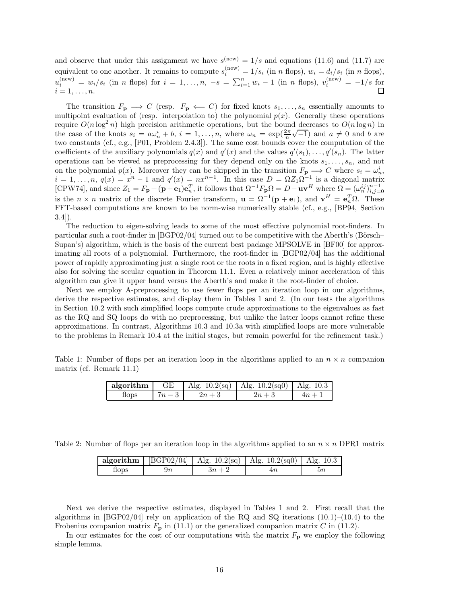and observe that under this assignment we have  $s^{(new)} = 1/s$  and equations (11.6) and (11.7) are equivalent to one another. It remains to compute  $s_i^{(\text{new})} = 1/s_i$  (in *n* flops),  $w_i = d_i/s_i$  (in *n* flops),  $u_i^{(\text{new})} = w_i/s_i$  (in *n* flops) for  $i = 1, ..., n$ ,  $-s = \sum_{i=1}^{n} w_i - 1$  (in *n* flops),  $v_i^{(\text{new})} = -1/s$  for  $i = 1, \ldots, n$ .

The transition  $F_{\mathbf{p}} \implies C$  (resp.  $F_{\mathbf{p}} \Longleftarrow C$ ) for fixed knots  $s_1, \ldots, s_n$  essentially amounts to multipoint evaluation of (resp. interpolation to) the polynomial  $p(x)$ . Generally these operations require  $O(n \log^2 n)$  high precision arithmetic operations, but the bound decreases to  $O(n \log n)$  in the case of the knots  $s_i = a\omega_i^i + b$ ,  $i = 1,...,n$ , where  $\omega_n = \exp(\frac{2\pi}{n}\sqrt{-1})$  and  $a \neq 0$  and *b* are two constants (cf., e.g., [P01, Problem 2.4.3]). The same cost bounds cover the computation of the coefficients of the auxiliary polynomials  $q(x)$  and  $q'(x)$  and the values  $q'(s_1), \ldots, q'(s_n)$ . The latter operations can be viewed as preprocessing for they depend only on the knots  $s_1, \ldots, s_n$ , and not on the polynomial  $p(x)$ . Moreover they can be skipped in the transition  $F_{\mathbf{p}} \Longrightarrow C$  where  $s_i = \omega_n^i$ ,  $i = 1, \ldots, n$ ,  $q(x) = x^n - 1$  and  $q'(x) = nx^{n-1}$ . In this case  $D = \Omega Z_1 \Omega^{-1}$  is a diagonal matrix [CPW74], and since  $Z_1 = F_p + (\mathbf{p} + \mathbf{e}_1)\mathbf{e}_n^T$ , it follows that  $\Omega^{-1}F_p\Omega = D - \mathbf{u}\mathbf{v}^H$  where  $\Omega = (\omega_n^{ij})_{i,j=0}^{n-1}$ is the *n* × *n* matrix of the discrete Fourier transform,  $\mathbf{u} = \Omega^{-1}(\mathbf{p} + \mathbf{e}_1)$ , and  $\mathbf{v}^H = \mathbf{e}_n^T \Omega$ . These FFT-based computations are known to be norm-wise numerically stable (cf., e.g., [BP94, Section 3.4]).

The reduction to eigen-solving leads to some of the most effective polynomial root-finders. In particular such a root-finder in  $[BGP02/04]$  turned out to be competitive with the Aberth's (Börsch– Supan's) algorithm, which is the basis of the current best package MPSOLVE in [BF00] for approximating all roots of a polynomial. Furthermore, the root-finder in [BGP02/04] has the additional power of rapidly approximating just a single root or the roots in a fixed region, and is highly effective also for solving the secular equation in Theorem 11.1. Even a relatively minor acceleration of this algorithm can give it upper hand versus the Aberth's and make it the root-finder of choice.

Next we employ A-preprocessing to use fewer flops per an iteration loop in our algorithms, derive the respective estimates, and display them in Tables 1 and 2. (In our tests the algorithms in Section 10.2 with such simplified loops compute crude approximations to the eigenvalues as fast as the RQ and SQ loops do with no preprocessing, but unlike the latter loops cannot refine these approximations. In contrast, Algorithms 10.3 and 10.3a with simplified loops are more vulnerable to the problems in Remark 10.4 at the initial stages, but remain powerful for the refinement task.)

Table 1: Number of flops per an iteration loop in the algorithms applied to an  $n \times n$  companion matrix (cf. Remark 11.1)

| algorithm | GЕ | Alg. $10.2\text{(sq)}$   Alg. $10.2\text{(sq)}$   Alg. $10.3$ |  |
|-----------|----|---------------------------------------------------------------|--|
| flops     |    | $\overline{m}$ .                                              |  |

Table 2: Number of flops per an iteration loop in the algorithms applied to an  $n \times n$  DPR1 matrix

|             |        | <b>algorithm</b>   [BGP02/04]   Alg. 10.2(sq)   Alg. 10.2(sq0)   Alg. 10.3 |  |
|-------------|--------|----------------------------------------------------------------------------|--|
| <b>Hops</b> | $3n+2$ |                                                                            |  |

Next we derive the respective estimates, displayed in Tables 1 and 2. First recall that the algorithms in [BGP02/04] rely on application of the RQ and SQ iterations  $(10.1)$ – $(10.4)$  to the Frobenius companion matrix  $F_{\bf p}$  in (11.1) or the generalized companion matrix *C* in (11.2).

In our estimates for the cost of our computations with the matrix  $F_{\bf p}$  we employ the following simple lemma.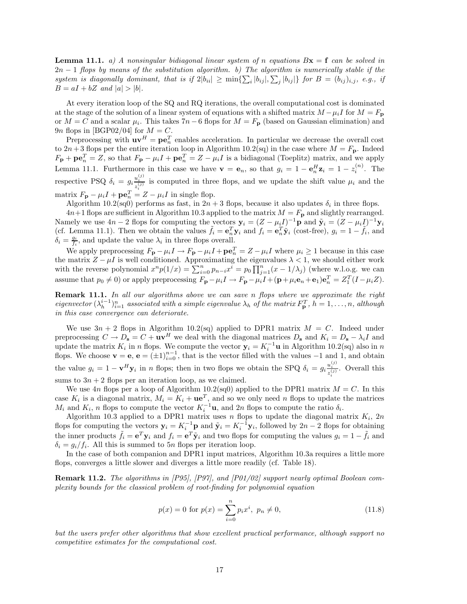**Lemma 11.1.** *a)* A nonsingular bidiagonal linear system of *n* equations  $Bx = f$  can be solved in 2*n* − 1 *flops by means of the substitution algorithm. b) The algorithm is numerically stable if the system is diagonally dominant, that is if*  $2|b_{ii}| \ge \min\{\sum_i |b_{ij}|, \sum_j |b_{ij}|\}$  for  $B = (b_{ij})_{i,j}$ *, e.g., if*  $B = aI + bZ$  *and*  $|a| > |b|$ *.* 

At every iteration loop of the SQ and RQ iterations, the overall computational cost is dominated at the stage of the solution of a linear system of equations with a shifted matrix  $M - \mu_i I$  for  $M = F_{\mathbf{p}}$ or  $M = C$  and a scalar  $\mu_i$ . This takes 7*n* − 6 flops for  $M = F_p$  (based on Gaussian elimination) and 9*n* flops in [BGP02/04] for  $M = C$ .

Preprocessing with  $\mathbf{u}\mathbf{v}^H = \mathbf{p}\mathbf{e}_n^T$  enables acceleration. In particular we decrease the overall cost to  $2n+3$  flops per the entire iteration loop in Algorithm 10.2(sq) in the case where  $M = F_p$ . Indeed  $F_{\bf p} + {\bf p} {\bf e}_n^T = Z$ , so that  $F_{\bf p} - \mu_i I + {\bf p} {\bf e}_n^T = Z - \mu_i I$  is a bidiagonal (Toeplitz) matrix, and we apply Lemma 11.1. Furthermore in this case we have  $\mathbf{v} = \mathbf{e}_n$ , so that  $g_i = 1 - \mathbf{e}_n^H \mathbf{z}_i = 1 - z_i^{(n)}$ . The respective PSQ  $\delta_i = g_i \frac{u_i^{(j)}}{z_i^{(j)}}$  is computed in three flops, and we update the shift value  $\mu_i$  and the matrix  $F_{\mathbf{p}} - \mu_i I + \mathbf{p} \mathbf{e}_n^T = Z - \mu_i I$  in single flop.

Algorithm 10.2(sq0) performs as fast, in  $2n + 3$  flops, because it also updates  $\delta_i$  in three flops.

 $4n+1$  flops are sufficient in Algorithm 10.3 applied to the matrix  $M = F_p$  and slightly rearranged. Namely we use  $4n-2$  flops for computing the vectors  $\mathbf{y}_i = (Z - \mu_i I)^{-1} \mathbf{p}$  and  $\tilde{\mathbf{y}}_i = (Z - \mu_i I)^{-1} \mathbf{y}_i$ (cf. Lemma 11.1). Then we obtain the values  $\tilde{f}_i = \mathbf{e}_n^T \mathbf{y}_i$  and  $f_i = \mathbf{e}_n^T \tilde{\mathbf{y}}_i$  (cost-free),  $g_i = 1 - \tilde{f}_i$ , and  $\delta_i = \frac{g_i}{f_i}$ , and update the value  $\lambda_i$  in three flops overall.

We apply preprocessing  $F_p - \mu_i I \to F_p - \mu_i I + \mathbf{p} \mathbf{e}_n^T = Z - \mu_i I$  where  $\mu_i \geq 1$  because in this case the matrix  $Z - \mu I$  is well conditioned. Approximating the eigenvalues  $\lambda < 1$ , we should either work with the reverse polynomial  $x^n p(1/x) = \sum_{i=0}^n p_{n-i} x^i = p_0 \prod_{j=1}^n (x-1/\lambda_j)$  (where w.l.o.g. we can assume that  $p_0 \neq 0$  or apply preprocessing  $F_{\mathbf{p}} - \mu_i I \rightarrow F_{\mathbf{p}} - \mu_i I + (\mathbf{p} + \mu_i \mathbf{e}_n + \mathbf{e}_1) \mathbf{e}_n^T = Z_1^T (I - \mu_i Z)$ .

**Remark 11.1.** *In all our algorithms above we can save n flops where we approximate the right* eigenvector  $(\lambda_h^{i-1})_{i=1}^n$  associated with a simple eigenvalue  $\lambda_h$  of the matrix  $F_{\bf p}^T$ ,  $h=1,\ldots,n$ , although *in this case convergence can deteriorate.*

We use  $3n + 2$  flops in Algorithm 10.2(sq) applied to DPR1 matrix  $M = C$ . Indeed under preprocessing  $C \to D_s = C + \mathbf{u} \mathbf{v}^H$  we deal with the diagonal matrices  $D_s$  and  $K_i = D_s - \lambda_i I$  and update the matrix  $K_i$  in *n* flops. We compute the vector  $\mathbf{y}_i = K_i^{-1} \mathbf{u}$  in Algorithm 10.2(sq) also in *n* flops. We choose  $\mathbf{v} = \mathbf{e}$ ,  $\mathbf{e} = (\pm 1)_{i=0}^{n-1}$ , that is the vector filled with the values  $-1$  and 1, and obtain the value  $g_i = 1 - \mathbf{v}^H \mathbf{y}_i$  in *n* flops; then in two flops we obtain the SPQ  $\delta_i = g_i \frac{u_i^{(j)}}{z_i^{(j)}}$ . Overall this sums to  $3n + 2$  flops per an iteration loop, as we claimed.

We use  $4n$  flops per a loop of Algorithm 10.2(sq0) applied to the DPR1 matrix  $M = C$ . In this case  $K_i$  is a diagonal matrix,  $M_i = K_i + \mathbf{u}e^T$ , and so we only need *n* flops to update the matrices *M*<sub>*i*</sub> and *K*<sub>*i*</sub>, *n* flops to compute the vector  $K_i^{-1}$ **u**, and 2*n* flops to compute the ratio  $\delta_i$ .

Algorithm 10.3 applied to a DPR1 matrix uses  $n$  flops to update the diagonal matrix  $K_i$ ,  $2n$ flops for computing the vectors  $y_i = K_i^{-1}p$  and  $\tilde{y}_i = K_i^{-1}y_i$ , followed by  $2n-2$  flops for obtaining the inner products  $\tilde{f}_i = e^T y_i$  and  $f_i = e^T \tilde{y}_i$  and two flops for computing the values  $g_i = 1 - \tilde{f}_i$  and  $\delta_i = g_i / f_i$ . All this is summed to 5*n* flops per iteration loop.

In the case of both companion and DPR1 input matrices, Algorithm 10.3a requires a little more flops, converges a little slower and diverges a little more readily (cf. Table 18).

**Remark 11.2.** *The algorithms in [P95], [P97], and [P01/02] support nearly optimal Boolean complexity bounds for the classical problem of root-finding for polynomial equation*

$$
p(x) = 0 \text{ for } p(x) = \sum_{i=0}^{n} p_i x^i, \ p_n \neq 0,
$$
\n(11.8)

*but the users prefer other algorithms that show excellent practical performance, although support no competitive estimates for the computational cost.*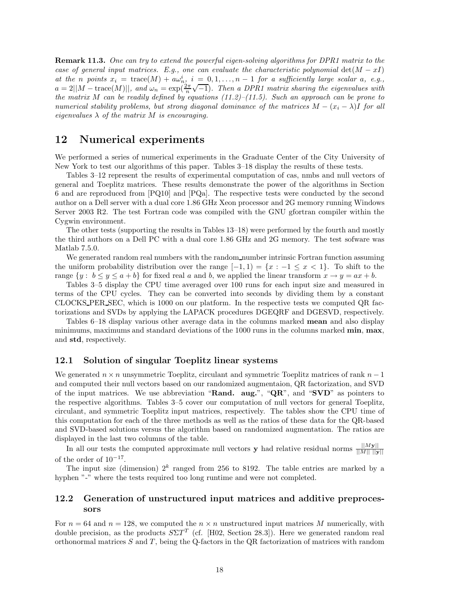**Remark 11.3.** *One can try to extend the powerful eigen-solving algorithms for DPR1 matrix to the case of general input matrices. E.g., one can evaluate the characteristic polynomial*  $det(M - xI)$ *at the n* points  $x_i = \text{trace}(M) + a\omega_{n_i}^i$ ,  $i = 0, 1, \ldots, n-1$  for a sufficiently large scalar a, e.g., *a*  $i = 2||M - \text{trace}(M)||$ , and  $\omega_n = \exp(\frac{2\pi}{n}\sqrt{-1})$ . Then a DPR1 matrix sharing the eigenvalues with *the matrix M can be readily defined by equations (11.2)–(11.5). Such an approach can be prone to numerical stability problems, but strong diagonal dominance of the matrices*  $M - (x_i - \lambda)I$  *for all eigenvalues*  $\lambda$  *of the matrix*  $M$  *is encouraging.* 

## **12 Numerical experiments**

We performed a series of numerical experiments in the Graduate Center of the City University of New York to test our algorithms of this paper. Tables 3–18 display the results of these tests.

Tables 3–12 represent the results of experimental computation of cas, nmbs and null vectors of general and Toeplitz matrices. These results demonstrate the power of the algorithms in Section 6 and are reproduced from [PQ10] and [PQa]. The respective tests were conducted by the second author on a Dell server with a dual core 1.86 GHz Xeon processor and 2G memory running Windows Server 2003 R2. The test Fortran code was compiled with the GNU gfortran compiler within the Cygwin environment.

The other tests (supporting the results in Tables 13–18) were performed by the fourth and mostly the third authors on a Dell PC with a dual core 1.86 GHz and 2G memory. The test sofware was Matlab 7.5.0.

We generated random real numbers with the random number intrinsic Fortran function assuming the uniform probability distribution over the range  $[-1, 1) = \{x : -1 \le x < 1\}$ . To shift to the range  $\{y : b \le y \le a + b\}$  for fixed real *a* and *b*, we applied the linear transform  $x \to y = ax + b$ .

Tables 3–5 display the CPU time averaged over 100 runs for each input size and measured in terms of the CPU cycles. They can be converted into seconds by dividing them by a constant CLOCKS PER SEC, which is 1000 on our platform. In the respective tests we computed QR factorizations and SVDs by applying the LAPACK procedures DGEQRF and DGESVD, respectively.

Tables 6–18 display various other average data in the columns marked **mean** and also display minimums, maximums and standard deviations of the 1000 runs in the columns marked **min**, **max**, and **std**, respectively.

#### **12.1 Solution of singular Toeplitz linear systems**

We generated *n* × *n* unsymmetric Toeplitz, circulant and symmetric Toeplitz matrices of rank *n* − 1 and computed their null vectors based on our randomized augmentaion, QR factorization, and SVD of the input matrices. We use abbreviation "**Rand. aug.**", "**QR**", and "**SVD**" as pointers to the respective algorithms. Tables 3–5 cover our computation of null vectors for general Toeplitz, circulant, and symmetric Toeplitz input matrices, respectively. The tables show the CPU time of this computation for each of the three methods as well as the ratios of these data for the QR-based and SVD-based solutions versus the algorithm based on randomized augmentation. The ratios are displayed in the last two columns of the table.

In all our tests the computed approximate null vectors **y** had relative residual norms  $\frac{||M\mathbf{y}||}{||M|| ||\mathbf{y}||}$ of the order of  $10^{-17}$ .

The input size (dimension)  $2^k$  ranged from 256 to 8192. The table entries are marked by a hyphen "-" where the tests required too long runtime and were not completed.

### **12.2 Generation of unstructured input matrices and additive preprocessors**

For  $n = 64$  and  $n = 128$ , we computed the  $n \times n$  unstructured input matrices M numerically, with double precision, as the products  $S\Sigma T^{T}$  (cf. [H02, Section 28.3]). Here we generated random real orthonormal matrices *S* and *T*, being the Q-factors in the QR factorization of matrices with random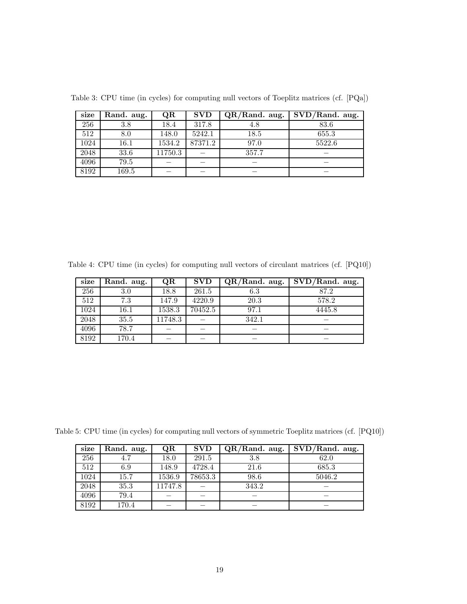| size | Rand. aug. | QR      | <b>SVD</b> | $QR/R$ and. aug. | $SVD/R$ and. aug. |
|------|------------|---------|------------|------------------|-------------------|
| 256  | 3.8        | 18.4    | 317.8      | 4.8              | 83.6              |
| 512  | 8.0        | 148.0   | 5242.1     | 18.5             | 655.3             |
| 1024 | 16.1       | 1534.2  | 87371.2    | 97.0             | 5522.6            |
| 2048 | 33.6       | 11750.3 |            | 357.7            |                   |
| 4096 | 79.5       |         |            |                  |                   |
| 8192 | 169.5      |         |            |                  |                   |

Table 3: CPU time (in cycles) for computing null vectors of Toeplitz matrices (cf. [PQa])

Table 4: CPU time (in cycles) for computing null vectors of circulant matrices (cf. [PQ10])

| size | Rand. aug. | QR      | <b>SVD</b> | $QR/R$ and. aug. | $SVD/R$ and. aug. |
|------|------------|---------|------------|------------------|-------------------|
| 256  | 3.0        | 18.8    | 261.5      | 6.3              | 87.2              |
| 512  | 7.3        | 147.9   | 4220.9     | 20.3             | 578.2             |
| 1024 | 16.1       | 1538.3  | 70452.5    | 97.1             | 4445.8            |
| 2048 | 35.5       | 11748.3 |            | 342.1            |                   |
| 4096 | 78.7       |         |            |                  |                   |
| 8192 | 170.4      |         |            |                  |                   |

Table 5: CPU time (in cycles) for computing null vectors of symmetric Toeplitz matrices (cf. [PQ10])

| size | Rand. aug. | QR      | <b>SVD</b> | $QR/R$ and. aug. | $SVD/R$ and. aug. |
|------|------------|---------|------------|------------------|-------------------|
| 256  |            | 18.0    | 291.5      | 3.8              | 62.0              |
| 512  | 6.9        | 148.9   | 4728.4     | 21.6             | 685.3             |
| 1024 | 15.7       | 1536.9  | 78653.3    | 98.6             | 5046.2            |
| 2048 | 35.3       | 11747.8 |            | 343.2            |                   |
| 4096 | 79.4       |         |            |                  |                   |
| 8192 | 170.4      |         |            |                  |                   |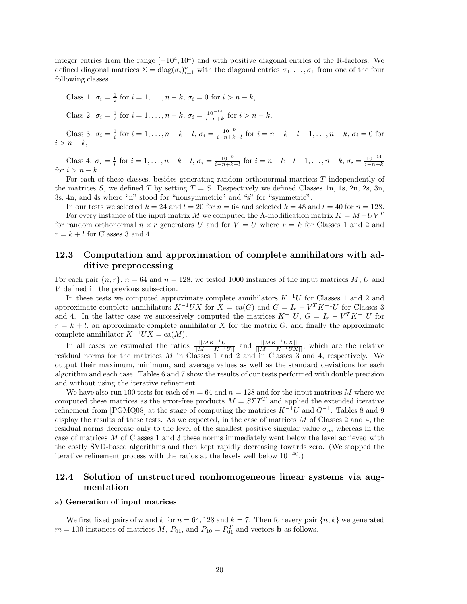integer entries from the range  $[-10^4, 10^4)$  and with positive diagonal entries of the R-factors. We defined diagonal matrices  $\Sigma = \text{diag}(\sigma_i)_{i=1}^n$  with the diagonal entries  $\sigma_1, \ldots, \sigma_1$  from one of the four following classes.

Class 1. 
$$
\sigma_i = \frac{1}{i}
$$
 for  $i = 1, ..., n - k$ ,  $\sigma_i = 0$  for  $i > n - k$ ,  
\nClass 2.  $\sigma_i = \frac{1}{i}$  for  $i = 1, ..., n - k$ ,  $\sigma_i = \frac{10^{-14}}{i - n + k}$  for  $i > n - k$ ,  
\nClass 3.  $\sigma_i = \frac{1}{i}$  for  $i = 1, ..., n - k - l$ ,  $\sigma_i = \frac{10^{-9}}{i - n + k + l}$  for  $i = n - k - l + 1, ..., n - k$ ,  $\sigma_i = 0$  for  $i > n - k$ ,

Class 4.  $\sigma_i = \frac{1}{i}$  for  $i = 1, ..., n - k - l$ ,  $\sigma_i = \frac{10^{-9}}{i - n + k + l}$  for  $i = n - k - l + 1, ..., n - k$ ,  $\sigma_i = \frac{10^{-14}}{i - n + k}$ for  $i > n - k$ .

For each of these classes, besides generating random orthonormal matrices *T* independently of the matrices *S*, we defined *T* by setting  $T = S$ . Respectively we defined Classes 1n, 1s, 2n, 2s, 3n, 3s, 4n, and 4s where "n" stood for "nonsymmetric" and "s" for "symmetric".

In our tests we selected  $k = 24$  and  $l = 20$  for  $n = 64$  and selected  $k = 48$  and  $l = 40$  for  $n = 128$ . For every instance of the input matrix *M* we computed the A-modification matrix  $K = M + UV^T$ for random orthonormal  $n \times r$  generators U and for  $V = U$  where  $r = k$  for Classes 1 and 2 and  $r = k + l$  for Classes 3 and 4.

### **12.3 Computation and approximation of complete annihilators with additive preprocessing**

For each pair  ${n, r}$ ,  $n = 64$  and  $n = 128$ , we tested 1000 instances of the input matrices M, U and *V* defined in the previous subsection.

In these tests we computed approximate complete annihilators  $K^{-1}U$  for Classes 1 and 2 and approximate complete annihilators  $K^{-1}UX$  for  $X = \text{ca}(G)$  and  $G = I_r - V^TK^{-1}U$  for Classes 3 and 4. In the latter case we successively computed the matrices  $K^{-1}U$ ,  $G = I_r - V^T K^{-1} U$  for  $r = k + l$ , an approximate complete annihilator *X* for the matrix *G*, and finally the approximate complete annihilator  $K^{-1}UX = \text{ca}(M)$ .

In all cases we estimated the ratios  $\frac{||MK^{-1}U||}{||M|| ||K^{-1}U||}$  and  $\frac{||MK^{-1}UX||}{||M|| ||K^{-1}UX||}$ , which are the relative residual norms for the matrices *M* in Classes 1 and 2 and in Classes 3 and 4, respectively. We output their maximum, minimum, and average values as well as the standard deviations for each algorithm and each case. Tables 6 and 7 show the results of our tests performed with double precision and without using the iterative refinement.

We have also run 100 tests for each of  $n = 64$  and  $n = 128$  and for the input matrices M where we computed these matrices as the error-free products  $M = S \Sigma T^T$  and applied the extended iterative refinement from [PGMQ08] at the stage of computing the matrices *K*−<sup>1</sup>*U* and *G*−<sup>1</sup>. Tables 8 and 9 display the results of these tests. As we expected, in the case of matrices *M* of Classes 2 and 4, the residual norms decrease only to the level of the smallest positive singular value  $\sigma_n$ , whereas in the case of matrices *M* of Classes 1 and 3 these norms immediately went below the level achieved with the costly SVD-based algorithms and then kept rapidly decreasing towards zero. (We stopped the iterative refinement process with the ratios at the levels well below  $10^{-40}$ .)

### **12.4 Solution of unstructured nonhomogeneous linear systems via augmentation**

#### **a) Generation of input matrices**

We first fixed pairs of *n* and *k* for  $n = 64, 128$  and  $k = 7$ . Then for every pair  $\{n, k\}$  we generated  $m = 100$  instances of matrices  $M$ ,  $P_{01}$ , and  $P_{10} = P_{01}^T$  and vectors **b** as follows.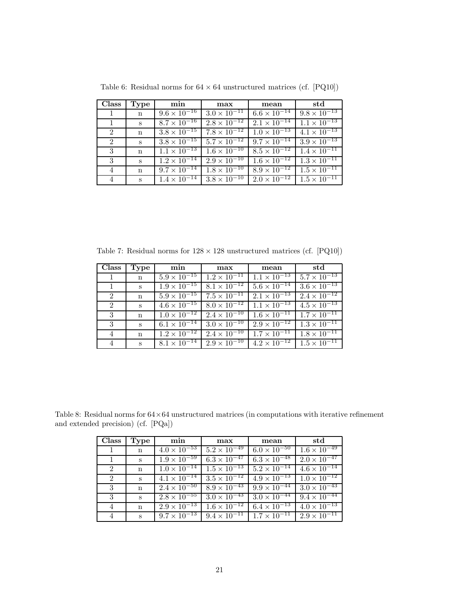| <b>Class</b> | Type        | min                              | max                              | mean                  | std                   |
|--------------|-------------|----------------------------------|----------------------------------|-----------------------|-----------------------|
| $\mathbf{1}$ | $\mathbf n$ | $9.6 \times 10^{-16}$            | $3.0 \times \overline{10^{-11}}$ | $6.6 \times 10^{-14}$ | $9.8 \times 10^{-13}$ |
| -1           | S           | $8.7 \times 10^{-16}$            | $2.8 \times 10^{-12}$            | $2.1 \times 10^{-14}$ | $1.1 \times 10^{-13}$ |
| 2            | $\mathbf n$ | $3.8 \times \overline{10^{-15}}$ | $7.8 \times 10^{-12}$            | $1.0 \times 10^{-13}$ | $4.1 \times 10^{-13}$ |
| 2            | S           | $3.8 \times 10^{-15}$            | $5.7 \times 10^{-12}$            | $9.7 \times 10^{-14}$ | $3.9 \times 10^{-13}$ |
| 3            | $\mathbf n$ | $1.1 \times \overline{10^{-13}}$ | $1.6 \times 10^{-10}$            | $8.5 \times 10^{-12}$ | $1.4 \times 10^{-11}$ |
| 3            | S           | $1.2 \times \overline{10^{-14}}$ | $2.9 \times 10^{-10}$            | $1.6 \times 10^{-12}$ | $1.3 \times 10^{-11}$ |
| 4            | $\mathbf n$ | $9.7 \times 10^{-14}$            | $1.8 \times 10^{-10}$            | $8.9 \times 10^{-12}$ | $1.5 \times 10^{-11}$ |
| 4            | $S_{-}$     | $1.4 \times \overline{10^{-14}}$ | $3.8 \times 10^{-10}$            | $2.0 \times 10^{-12}$ | $1.5 \times 10^{-11}$ |

Table 6: Residual norms for  $64\times64$  unstructured matrices (cf. [PQ10])

Table 7: Residual norms for  $128 \times 128$  unstructured matrices (cf. [PQ10])

| Class | Type        | min                              | max                              | mean                             | std                   |
|-------|-------------|----------------------------------|----------------------------------|----------------------------------|-----------------------|
|       | $\mathbf n$ | $5.9 \times 10^{-15}$            | $1.2 \times 10^{-11}$            | $1.1 \times 10^{-13}$            | $5.7 \times 10^{-13}$ |
|       | S           | $1.9 \times \overline{10^{-15}}$ | $8.1 \times 10^{-12}$            | $5.6 \times 10^{-14}$            | $3.6 \times 10^{-13}$ |
| 2     | $\mathbf n$ | $5.9 \times \overline{10^{-15}}$ | $7.5 \times 10^{-11}$            | $2.1 \times \overline{10^{-13}}$ | $2.4 \times 10^{-12}$ |
| 2     | S           | $4.6 \times 10^{-15}$            | $8.0 \times 10^{-12}$            | $1.1 \times 10^{-13}$            | $4.5 \times 10^{-13}$ |
| 3     | $\mathbf n$ | $1.0 \times \overline{10^{-12}}$ | $2.4 \times 10^{-10}$            | $1.6 \times 10^{-11}$            | $1.7 \times 10^{-11}$ |
| 3     | S           | $6.1 \times 10^{-14}$            | $3.0 \times 10^{-10}$            | $2.9 \times 10^{-12}$            | $1.3 \times 10^{-11}$ |
| 4     | $\mathbf n$ | $1.2 \times \overline{10^{-12}}$ | $2.4 \times \overline{10^{-10}}$ | $1.7 \times 10^{-11}$            | $1.8 \times 10^{-11}$ |
| 4     | S           | $8.1 \times 10^{-14}$            | $2.9 \times 10^{-10}$            | $4.2 \times 10^{-12}$            | $1.5 \times 10^{-11}$ |

Table 8: Residual norms for  $64 \times 64$  unstructured matrices (in computations with iterative refinement and extended precision) (cf. [PQa])

| Class          | Type        | min                              | max                   | mean                  | std                   |
|----------------|-------------|----------------------------------|-----------------------|-----------------------|-----------------------|
| $\mathbf{1}$   | $\mathbf n$ | $4.0 \times \overline{10^{-53}}$ | $5.2 \times 10^{-49}$ | $6.0 \times 10^{-50}$ | $1.6 \times 10^{-49}$ |
|                | S           | $1.9 \times 10^{-59}$            | $6.3 \times 10^{-47}$ | $6.3 \times 10^{-48}$ | $2.0 \times 10^{-47}$ |
| $\overline{2}$ | $\mathbf n$ | $1.0 \times \overline{10^{-14}}$ | $1.5 \times 10^{-13}$ | $5.2 \times 10^{-14}$ | $4.6 \times 10^{-14}$ |
| $\overline{2}$ | S           | $4.1 \times \overline{10^{-14}}$ | $3.5 \times 10^{-12}$ | $4.9 \times 10^{-13}$ | $1.0 \times 10^{-12}$ |
| 3              | $\mathbf n$ | $2.4 \times 10^{-50}$            | $8.9 \times 10^{-43}$ | $9.9 \times 10^{-44}$ | $3.0 \times 10^{-43}$ |
| 3              | S           | $2.8 \times 10^{-55}$            | $3.0 \times 10^{-43}$ | $3.0 \times 10^{-44}$ | $9.4 \times 10^{-44}$ |
| 4              | $\mathbf n$ | $2.9 \times 10^{-13}$            | $1.6 \times 10^{-12}$ | $6.4 \times 10^{-13}$ | $4.0 \times 10^{-13}$ |
| 4              | S           | $9.7 \times 10^{-13}$            | $9.4 \times 10^{-11}$ | $1.7 \times 10^{-11}$ | $2.9 \times 10^{-11}$ |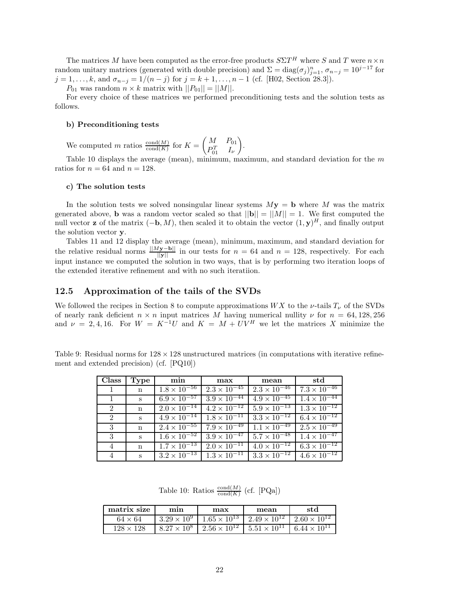The matrices *M* have been computed as the error-free products  $S\Sigma T^H$  where *S* and *T* were  $n \times n$ random unitary matrices (generated with double precision) and  $\Sigma = diag(\sigma_j)_{j=1}^n$ ,  $\sigma_{n-j} = 10^{j-17}$  for  $j = 1, \ldots, k$ , and  $\sigma_{n-j} = 1/(n-j)$  for  $j = k+1, \ldots, n-1$  (cf. [H02, Section 28.3]).

 $P_{01}$  was random  $n \times k$  matrix with  $||P_{01}|| = ||M||$ .

For every choice of these matrices we performed preconditioning tests and the solution tests as follows.

#### **b) Preconditioning tests**

We computed *m* ratios  $\frac{\text{cond}(M)}{\text{cond}(K)}$  for  $K = \begin{pmatrix} M & P_{01} \\ P_{\alpha}^T & I_{\alpha} \end{pmatrix}$  $P_{01}^T$  *I<sub><i>ν*</sub> - .

Table 10 displays the average (mean), minimum, maximum, and standard deviation for the *m* ratios for  $n = 64$  and  $n = 128$ .

#### **c) The solution tests**

In the solution tests we solved nonsingular linear systems  $M\mathbf{y} = \mathbf{b}$  where *M* was the matrix generated above, **b** was a random vector scaled so that  $||\mathbf{b}|| = ||M|| = 1$ . We first computed the null vector **z** of the matrix  $(-\mathbf{b}, M)$ , then scaled it to obtain the vector  $(1, \mathbf{y})^H$ , and finally output the solution vector **y**.

Tables 11 and 12 display the average (mean), minimum, maximum, and standard deviation for the relative residual norms  $\frac{||M_{\mathbf{y}-\mathbf{b}}||}{||\mathbf{y}||}$  in our tests for  $n = 64$  and  $n = 128$ , respectively. For each input instance we computed the solution in two ways, that is by performing two iteration loops of the extended iterative refinement and with no such iteratiion.

#### **12.5 Approximation of the tails of the SVDs**

We followed the recipes in Section 8 to compute approximations  $WX$  to the  $\nu$ -tails  $T_{\nu}$  of the SVDs of nearly rank deficient  $n \times n$  input matrices M having numerical nullity  $\nu$  for  $n = 64, 128, 256$ and  $\nu = 2, 4, 16$ . For  $W = K^{-1}U$  and  $K = M + UV^H$  we let the matrices X minimize the

Table 9: Residual norms for  $128 \times 128$  unstructured matrices (in computations with iterative refinement and extended precision) (cf. [PQ10])

| <b>Class</b>   | Type              | min                              | max                              | mean                             | std                              |
|----------------|-------------------|----------------------------------|----------------------------------|----------------------------------|----------------------------------|
| $\mathbf{1}$   | n                 | $1.8 \times 10^{-56}$            | $2.3 \times 10^{-45}$            | $2.3 \times \overline{10^{-46}}$ | $7.3 \times \overline{10^{-46}}$ |
| $\overline{1}$ | S                 | $6.9 \times 10^{-57}$            | $3.9 \times \overline{10^{-44}}$ | $4.9 \times 10^{-45}$            | $1.4 \times \overline{10^{-44}}$ |
| 2              | $\mathbf n$       | $2.0 \times 10^{-14}$            | $4.2 \times 10^{-12}$            | $5.9 \times 10^{-13}$            | $1.3 \times 10^{-12}$            |
| 2              | $S_{\mathcal{L}}$ | $4.9 \times 10^{-14}$            | $1.8 \times 10^{-11}$            | $3.3 \times 10^{-12}$            | $6.4 \times 10^{-12}$            |
| 3              | $\mathbf n$       | $2.4 \times \overline{10^{-55}}$ | $7.9 \times 10^{-49}$            | $1.1 \times 10^{-49}$            | $2.5 \times 10^{-49}$            |
| 3              | $S_{\rm}$         | $1.6 \times 10^{-52}$            | $3.9 \times 10^{-47}$            | $5.7 \times 10^{-48}$            | $1.4 \times 10^{-47}$            |
| 4              | $\mathbf n$       | $1.7 \times \overline{10^{-13}}$ | $2.0 \times 10^{-11}$            | $4.0 \times 10^{-12}$            | $6.3 \times 10^{-12}$            |
| 4              | $\mathbf{s}$      | $3.2 \times 10^{-13}$            | $1.3 \times 10^{-11}$            | $3.3 \times 10^{-12}$            | $4.6 \times 10^{-12}$            |

Table 10: Ratios  $\frac{\text{cond}(M)}{\text{cond}(K)}$  (cf. [PQa])

| matrix size      | mın                  | max                   | mean                  | std                   |
|------------------|----------------------|-----------------------|-----------------------|-----------------------|
| $64 \times 64$   | $3.29 \times 10^{9}$ | $1.65 \times 10^{13}$ | $1.49 \times 10^{12}$ | $2.60 \times 10^{12}$ |
| $128 \times 128$ | $8.27 \times 10^{8}$ | $2.56 \times 10^{12}$ | $5.51 \times 10^{11}$ | $6.44 \times 10^{11}$ |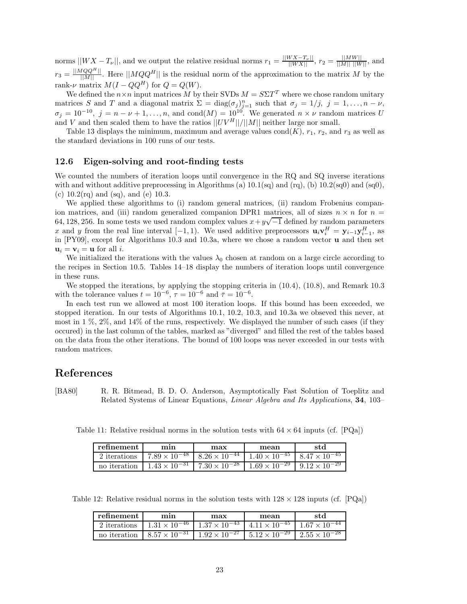$\sum_{n=1}^{\infty}$   $||WX - T_\nu||$ , and we output the relative residual norms  $r_1 = \frac{||WX - T_\nu||}{||WX||}$ ,  $r_2 = \frac{||MW||}{||M|| ||W||}$ , and  $r_3 = \frac{||MQQ^H||}{||M||}$ . Here  $||MQQ^H||$  is the residual norm of the approximation to the matrix *M* by the rank- $\nu$  matrix  $M(I - QQ^H)$  for  $Q = Q(W)$ .

We defined the  $n \times n$  input matrices M by their SVDs  $M = S \Sigma T^T$  where we chose random unitary matrices *S* and *T* and a diagonal matrix  $\Sigma = \text{diag}(\sigma_j)_{j=1}^n$  such that  $\sigma_j = 1/j$ ,  $j = 1, ..., n - \nu$ ,  $\sigma_j = 10^{-10}$ ,  $j = n - \nu + 1, \ldots, n$ , and cond $(M) = 10^{10}$ . We generated  $n \times \nu$  random matrices *U* and  $V$  and then scaled them to have the ratios  $||UV^H||/||M||$  neither large nor small.

Table 13 displays the minimum, maximum and average values  $\text{cond}(K)$ ,  $r_1$ ,  $r_2$ , and  $r_3$  as well as the standard deviations in 100 runs of our tests.

#### **12.6 Eigen-solving and root-finding tests**

We counted the numbers of iteration loops until convergence in the RQ and SQ inverse iterations with and without additive preprocessing in Algorithms (a)  $10.1$ (sq) and (rq), (b)  $10.2$ (sq0) and (sq0), (c)  $10.2\text{(rq)}$  and (sq), and (e) 10.3.

We applied these algorithms to (i) random general matrices, (ii) random Frobenius companion matrices, and (iii) random generalized companion DPR1 matrices, all of sizes  $n \times n$  for  $n =$ for matrices, and (iii) random generalized companion DFK1 matrices, an of sizes  $n \times n$  for  $n = 64, 128, 256$ . In some tests we used random complex values  $x + y\sqrt{-1}$  defined by random parameters *x* and *y* from the real line interval  $[-1, 1)$ . We used additive preprocessors  $\mathbf{u}_i \mathbf{v}_i^H = \mathbf{y}_{i-1} \mathbf{y}_{i-1}^H$ , as in [PY09], except for Algorithms 10.3 and 10.3a, where we chose a random vector **u** and then set  $\mathbf{u}_i = \mathbf{v}_i = \mathbf{u}$  for all *i*.

We initialized the iterations with the values  $\lambda_0$  chosen at random on a large circle according to the recipes in Section 10.5. Tables 14–18 display the numbers of iteration loops until convergence in these runs.

We stopped the iterations, by applying the stopping criteria in  $(10.4)$ ,  $(10.8)$ , and Remark 10.3 with the tolerance values  $t = 10^{-6}$ ,  $\tau = 10^{-6}$  and  $\bar{\tau} = 10^{-6}$ .

In each test run we allowed at most 100 iteration loops. If this bound has been exceeded, we stopped iteration. In our tests of Algorithms 10.1, 10.2, 10.3, and 10.3a we obseved this never, at most in 1 %, 2%, and 14% of the runs, respectively. We displayed the number of such cases (if they occured) in the last column of the tables, marked as "diverged" and filled the rest of the tables based on the data from the other iterations. The bound of 100 loops was never exceeded in our tests with random matrices.

## **References**

[BA80] R. R. Bitmead, B. D. O. Anderson, Asymptotically Fast Solution of Toeplitz and Related Systems of Linear Equations, *Linear Algebra and Its Applications*, **34**, 103–

Table 11: Relative residual norms in the solution tests with  $64 \times 64$  inputs (cf. [PQa])

| refinement   | mın                    | max                    | mean                   | std                    |
|--------------|------------------------|------------------------|------------------------|------------------------|
| 2 iterations | $7.89 \times 10^{-48}$ | $8.26 \times 10^{-44}$ | $1.40 \times 10^{-45}$ | $8.47 \times 10^{-45}$ |
| no iteration | $1.43 \times 10^{-31}$ | $7.30 \times 10^{-28}$ | $1.69 \times 10^{-29}$ | $9.12 \times 10^{-29}$ |

Table 12: Relative residual norms in the solution tests with  $128 \times 128$  inputs (cf. [PQa])

| refinement | min                                                                                                      | max | mean | st d |
|------------|----------------------------------------------------------------------------------------------------------|-----|------|------|
|            | 2 iterations $1.31 \times 10^{-46}$ $1.37 \times 10^{-43}$ $4.11 \times 10^{-45}$ $1.67 \times 10^{-44}$ |     |      |      |
|            | no iteration $8.57 \times 10^{-31}$ $1.92 \times 10^{-27}$ $5.12 \times 10^{-29}$ $2.55 \times 10^{-28}$ |     |      |      |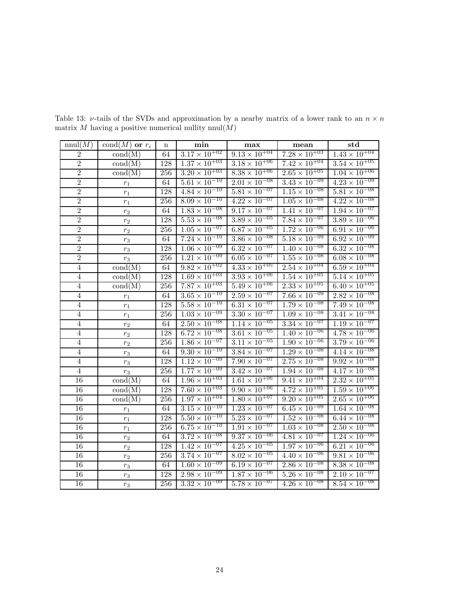| nnul(M)         | cond $(M)$ or $r_i$              | n                | min                               | max                               | mean                              | $\operatorname{std}$              |
|-----------------|----------------------------------|------------------|-----------------------------------|-----------------------------------|-----------------------------------|-----------------------------------|
| $\,2$           | $\text{cond}(M)$                 | 64               | $3.17 \times 10^{+02}$            | $9.13 \times 10^{+04}$            | $7.\overline{28 \times 10^{+03}}$ | $1.43 \times 10^{+04}$            |
| $\overline{2}$  | $\text{cond}(M)$                 | 128              | $1.37 \times 10^{+03}$            | $3.18 \times 10^{+06}$            | $7.42 \times 10^{+04}$            | $3.54 \times 10^{+05}$            |
| $\overline{2}$  | $\text{cond}(M)$                 | 256              | $3.20 \times 10^{+03}$            | $8.38 \times 10^{+06}$            | $2.65 \times 10^{+05}$            | $1.04 \times 10^{+06}$            |
| $\overline{2}$  | $\,r_1$                          | 64               | $5.\overline{61} \times 10^{-10}$ | $2.01 \times 10^{-08}$            | $3.\overline{43 \times 10^{-09}}$ | $4.23 \times 10^{-09}$            |
| $\overline{2}$  | $r_1\,$                          | 128              | $4.84 \times 10^{-10}$            | $5.81 \times 10^{-07}$            | $1.15 \times 10^{-08}$            | $5.81 \times 10^{-08}$            |
| $\overline{2}$  | $r_1\,$                          | 256              | $8.09 \times 10^{-10}$            | $4.22 \times 10^{-07}$            | $1.05 \times 10^{-08}$            | $4.22 \times 10^{-08}$            |
| $\overline{2}$  | $r_{\rm 2}$                      | 64               | $1.83 \times 10^{-08}$            | $9.17 \times 10^{-07}$            | $1.41 \times 10^{-07}$            | $1.94 \times 10^{-07}$            |
| $\overline{2}$  | $r_{\rm 2}$                      | 128              | $5.53 \times 10^{-08}$            | $3.89 \times 10^{-05}$            | $7.\overline{84 \times 10^{-07}}$ | $3.89 \times 10^{-06}$            |
| $\overline{2}$  | $r_{\rm 2}$                      | 256              | $1.05 \times 10^{-07}$            | $6.87 \times 10^{-05}$            | $1.72 \times 10^{-06}$            | $6.91 \times 10^{-06}$            |
| $\overline{2}$  | $r_{3}% \rightarrow\gamma\gamma$ | 64               | $7.24 \times 10^{-10}$            | $3.86 \times 10^{-08}$            | $5.18 \times 10^{-09}$            | $6.92 \times 10^{-09}$            |
| $\overline{2}$  | $r_{3}% \rightarrow\gamma\gamma$ | 128              | $1.06 \times 10^{-09}$            | $6.32 \times 10^{-07}$            | $1.40 \times 10^{-08}$            | $6.32 \times 10^{-08}$            |
| $\overline{2}$  | $r_{3}% \rightarrow\gamma\gamma$ | 256              | $1.21 \times 10^{-09}$            | $6.05 \times 10^{-07}$            | $1.\overline{55 \times 10^{-08}}$ | $6.08 \times 10^{-08}$            |
| $\overline{4}$  | $\text{cond}(M)$                 | 64               | $9.82 \times 10^{+02}$            | $4.33 \times 10^{+05}$            | $2.54 \times 10^{+04}$            | $6.59 \times 10^{+04}$            |
| 4               | $\text{cond}(M)$                 | 128              | $1.69 \times 10^{+03}$            | $3.93 \times 10^{+06}$            | $1.54 \times 10^{+05}$            | $5.14 \times 10^{+05}$            |
| $\overline{4}$  | $\text{cond}(\text{M})$          | 256              | $7.87 \times 10^{+03}$            | $5.49 \times 10^{+06}$            | $2.33 \times 10^{+05}$            | $6.40 \times 10^{+05}$            |
| 4               | $r_1\,$                          | 64               | $3.65 \times 10^{-10}$            | $2.59 \times 10^{-07}$            | $7.\overline{66 \times 10^{-09}}$ | $2.82 \times 10^{-08}$            |
| 4               | $r_1$                            | 128              | $5.58 \times 10^{-10}$            | $6.31 \times 10^{-07}$            | $1.\overline{79 \times 10^{-08}}$ | $7.\overline{49 \times 10^{-08}}$ |
| $\overline{4}$  | $r_1\,$                          | 256              | $1.03 \times 10^{-09}$            | $3.30 \times 10^{-07}$            | $1.09 \times 10^{-08}$            | $3.\overline{41} \times 10^{-08}$ |
| $\overline{4}$  | $r_{\rm 2}$                      | 64               | $2.\overline{50 \times 10^{-08}}$ | $1.\overline{14 \times 10^{-05}}$ | $3.34 \times 10^{-07}$            | $1.19 \times 10^{-07}$            |
| $\overline{4}$  | $r_{\rm 2}$                      | 128              | $6.\overline{72 \times 10^{-08}}$ | $3.61 \times 10^{-05}$            | $1.40 \times 10^{-06}$            | $4.78 \times 10^{-06}$            |
| $\overline{4}$  | $r_{\rm 2}$                      | 256              | $1.\overline{86 \times 10^{-07}}$ | $3.\overline{11 \times 10^{-05}}$ | $1.\overline{90 \times 10^{-06}}$ | $3.79 \times 10^{-06}$            |
| $\overline{4}$  | $r_{3}% \rightarrow\gamma\gamma$ | 64               | $9.30 \times 10^{-10}$            | $3.\overline{84 \times 10^{-07}}$ | $1.29 \times 10^{-08}$            | $4.14 \times 10^{-08}$            |
| $\overline{4}$  | $r_{3}% \rightarrow\gamma\gamma$ | 128              | $1.12 \times 10^{-09}$            | $7.\overline{90\times10^{-07}}$   | $2.75 \times 10^{-08}$            | $9.92 \times 10^{-08}$            |
| $\overline{4}$  | $r_{3}% \rightarrow\gamma\gamma$ | 256              | $1.\overline{77 \times 10^{-09}}$ | $3.\overline{42 \times 10^{-07}}$ | $1.94 \times 10^{-08}$            | $4.17 \times 10^{-08}$            |
| 16              | $\text{cond}(\text{M})$          | 64               | $1.96 \times 10^{+03}$            | $1.61 \times 10^{+06}$            | $9.41 \times 10^{+04}$            | $2.\overline{32 \times 10^{+05}}$ |
| 16              | $\text{cond}(M)$                 | 128              | $7.60 \times 10^{+03}$            | $9.90 \times 10^{+06}$            | $4.72 \times 10^{+05}$            | $1.59 \times 10^{+06}$            |
| 16              | $\text{cond}(\text{M})$          | 256              | $1.97 \times 10^{+04}$            | $1.80 \times 10^{+07}$            | $9.20 \times 10^{+05}$            | $2.65 \times 10^{+06}$            |
| 16              | $\mathfrak{r}_1$                 | 64               | $3.15 \times 10^{-10}$            | $1.23 \times 10^{-07}$            | $6.45 \times 10^{-09}$            | $1.64 \times 10^{-08}$            |
| $16\,$          | $\,r_1$                          | 128              | $5.50 \times 10^{-10}$            | $5.23 \times 10^{-07}$            | $1.52 \times 10^{-08}$            | $6.44 \times 10^{-08}$            |
| 16              | $r_1\,$                          | 256              | $6.\overline{75 \times 10^{-10}}$ | $1.\overline{91 \times 10^{-07}}$ | $1.03 \times 10^{-08}$            | $2.50 \times 10^{-08}$            |
| 16              | $r_{\rm 2}$                      | 64               | $3.\overline{72 \times 10^{-08}}$ | $9.37 \times 10^{-06}$            | $4.81 \times 10^{-07}$            | $1.24 \times 10^{-06}$            |
| 16              | $r_{\rm 2}$                      | 128              | $1.42 \times 10^{-07}$            | $4.25 \times 10^{-05}$            | $1.97 \times 10^{-06}$            | $6.\overline{21} \times 10^{-06}$ |
| 16              | $r_{\rm 2}$                      | 256              | $3.74 \times 10^{-07}$            | $8.02 \times 10^{-05}$            | $4.40 \times 10^{-06}$            | $9.81 \times 10^{-06}$            |
| 16              | $r_{3}% \rightarrow\gamma\gamma$ | 64               | $1.60 \times 10^{-09}$            | $6.19 \times 10^{-07}$            | $2.86 \times 10^{-08}$            | $8.\overline{38} \times 10^{-08}$ |
| $16\,$          | $r_{3}% \rightarrow\gamma\gamma$ | 128              | $2.\overline{98 \times 10^{-09}}$ | $1.87 \times 10^{-06}$            | $5.26 \times 10^{-08}$            | $2.10 \times 10^{-07}$            |
| $\overline{16}$ | $r_3$                            | $\overline{256}$ | $3.32 \times 10^{-09}$            | $5.78 \times 10^{-07}$            | $4.26 \times 10^{-08}$            | $8.54 \times 10^{-08}$            |

Table 13: *ν*-tails of the SVDs and approximation by a nearby matrix of a lower rank to an  $n \times n$ matrix  $M$  having a positive numerical nullity nnul( $M$ )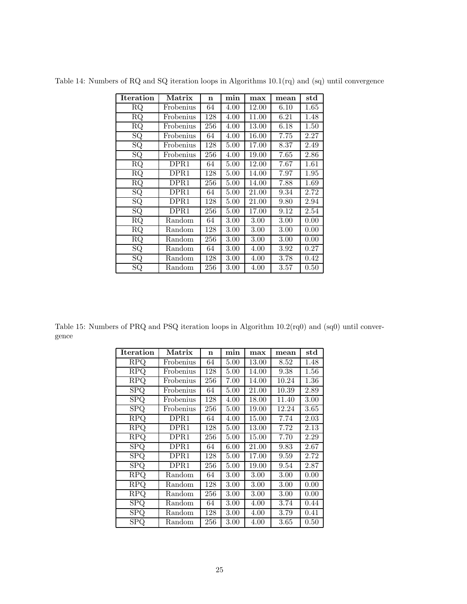| <b>Iteration</b> | Matrix    | n   | min  | max      | mean     | $_{\rm std}$ |
|------------------|-----------|-----|------|----------|----------|--------------|
| RQ               | Frobenius | 64  | 4.00 | 12.00    | 6.10     | 1.65         |
| RQ               | Frobenius | 128 | 4.00 | 11.00    | 6.21     | 1.48         |
| $\rm RQ$         | Frobenius | 256 | 4.00 | 13.00    | 6.18     | 1.50         |
| SQ               | Frobenius | 64  | 4.00 | 16.00    | 7.75     | 2.27         |
| SQ               | Frobenius | 128 | 5.00 | 17.00    | 8.37     | 2.49         |
| SQ               | Frobenius | 256 | 4.00 | 19.00    | 7.65     | 2.86         |
| $\rm RQ$         | DPR1      | 64  | 5.00 | 12.00    | 7.67     | 1.61         |
| RQ               | DPR1      | 128 | 5.00 | 14.00    | 7.97     | 1.95         |
| RQ               | DPR1      | 256 | 5.00 | 14.00    | 7.88     | 1.69         |
| SQ               | DPR1      | 64  | 5.00 | 21.00    | 9.34     | 2.72         |
| $\overline{SQ}$  | DPR1      | 128 | 5.00 | 21.00    | 9.80     | 2.94         |
| SQ               | DPR1      | 256 | 5.00 | 17.00    | 9.12     | 2.54         |
| RQ               | Random    | 64  | 3.00 | $3.00\,$ | $3.00\,$ | 0.00         |
| RQ               | Random    | 128 | 3.00 | $3.00\,$ | $3.00\,$ | 0.00         |
| RQ               | Random    | 256 | 3.00 | 3.00     | 3.00     | 0.00         |
| SQ               | Random    | 64  | 3.00 | 4.00     | $3.92\,$ | 0.27         |
| SQ               | Random    | 128 | 3.00 | 4.00     | 3.78     | 0.42         |
| SQ               | Random    | 256 | 3.00 | 4.00     | $3.57\,$ | 0.50         |

Table 14: Numbers of RQ and SQ iteration loops in Algorithms 10.1(rq) and (sq) until convergence

Table 15: Numbers of PRQ and PSQ iteration loops in Algorithm 10.2(rq0) and (sq0) until convergence

| Iteration                      | $\operatorname{Matrix}$ | n   | min  | max      | mean  | $_{\rm std}$ |
|--------------------------------|-------------------------|-----|------|----------|-------|--------------|
| RPQ                            | Frobenius               | 64  | 5.00 | 13.00    | 8.52  | 1.48         |
| <b>RPQ</b>                     | Frobenius               | 128 | 5.00 | 14.00    | 9.38  | 1.56         |
| <b>RPQ</b>                     | Frobenius               | 256 | 7.00 | 14.00    | 10.24 | 1.36         |
| <b>SPQ</b>                     | Frobenius               | 64  | 5.00 | 21.00    | 10.39 | 2.89         |
| SPQ                            | Frobenius               | 128 | 4.00 | 18.00    | 11.40 | 3.00         |
| SPQ                            | Frobenius               | 256 | 5.00 | 19.00    | 12.24 | 3.65         |
| RPQ                            | DPR1                    | 64  | 4.00 | 15.00    | 7.74  | 2.03         |
| RPQ                            | DPR1                    | 128 | 5.00 | 13.00    | 7.72  | 2.13         |
| <b>RPQ</b>                     | DPR1                    | 256 | 5.00 | 15.00    | 7.70  | 2.29         |
| <b>SPQ</b>                     | DPR1                    | 64  | 6.00 | 21.00    | 9.83  | 2.67         |
| SPQ                            | DPR1                    | 128 | 5.00 | 17.00    | 9.59  | 2.72         |
| <b>SPQ</b>                     | DPR1                    | 256 | 5.00 | 19.00    | 9.54  | 2.87         |
| <b>RPQ</b>                     | Random                  | 64  | 3.00 | $3.00\,$ | 3.00  | 0.00         |
| $\overline{\text{R}}\text{PQ}$ | Random                  | 128 | 3.00 | $3.00\,$ | 3.00  | 0.00         |
| <b>RPQ</b>                     | Random                  | 256 | 3.00 | $3.00\,$ | 3.00  | 0.00         |
| $\overline{\text{SPQ}}$        | Random                  | 64  | 3.00 | 4.00     | 3.74  | 0.44         |
| SPQ                            | Random                  | 128 | 3.00 | 4.00     | 3.79  | 0.41         |
| SPQ                            | Random                  | 256 | 3.00 | 4.00     | 3.65  | 0.50         |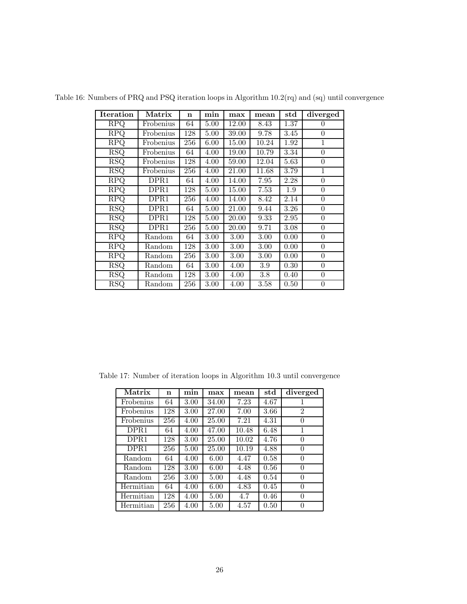| <b>Iteration</b>        | Matrix    | $\mathbf n$ | min      | max   | mean     | $_{\rm std}$ | diverged         |
|-------------------------|-----------|-------------|----------|-------|----------|--------------|------------------|
| <b>RPQ</b>              | Frobenius | 64          | 5.00     | 12.00 | 8.43     | 1.37         | $\theta$         |
| <b>RPQ</b>              | Frobenius | 128         | 5.00     | 39.00 | 9.78     | 3.45         | $\boldsymbol{0}$ |
| <b>RPQ</b>              | Frobenius | 256         | 6.00     | 15.00 | 10.24    | 1.92         | $\mathbf 1$      |
| <b>RSQ</b>              | Frobenius | 64          | 4.00     | 19.00 | 10.79    | 3.34         | $\boldsymbol{0}$ |
| RSQ                     | Frobenius | 128         | 4.00     | 59.00 | 12.04    | 5.63         | $\theta$         |
| <b>RSQ</b>              | Frobenius | 256         | 4.00     | 21.00 | 11.68    | 3.79         | $\mathbf 1$      |
| $\overline{\text{RPQ}}$ | DPR1      | 64          | 4.00     | 14.00 | 7.95     | 2.28         | $\theta$         |
| <b>RPQ</b>              | DPR1      | 128         | 5.00     | 15.00 | 7.53     | $1.9\,$      | $\theta$         |
| $\overline{\text{RPO}}$ | DPR1      | 256         | 4.00     | 14.00 | 8.42     | 2.14         | $\boldsymbol{0}$ |
| $\overline{\text{RSQ}}$ | DPR1      | 64          | 5.00     | 21.00 | 9.44     | 3.26         | $\theta$         |
| <b>RSQ</b>              | DPR1      | 128         | 5.00     | 20.00 | 9.33     | 2.95         | $\theta$         |
| <b>RSQ</b>              | DPR1      | 256         | 5.00     | 20.00 | 9.71     | 3.08         | $\theta$         |
| <b>RPQ</b>              | Random    | 64          | 3.00     | 3.00  | $3.00\,$ | 0.00         | $\boldsymbol{0}$ |
| $\overline{\text{RPQ}}$ | Random    | 128         | 3.00     | 3.00  | 3.00     | 0.00         | $\boldsymbol{0}$ |
| <b>RPQ</b>              | Random    | 256         | 3.00     | 3.00  | 3.00     | 0.00         | $\boldsymbol{0}$ |
| <b>RSQ</b>              | Random    | 64          | 3.00     | 4.00  | 3.9      | 0.30         | $\overline{0}$   |
| <b>RSQ</b>              | Random    | 128         | 3.00     | 4.00  | $3.8\,$  | 0.40         | $\boldsymbol{0}$ |
| <b>RSQ</b>              | Random    | 256         | $3.00\,$ | 4.00  | 3.58     | 0.50         | $\boldsymbol{0}$ |

Table 16: Numbers of PRQ and PSQ iteration loops in Algorithm 10.2(rq) and (sq) until convergence

Table 17: Number of iteration loops in Algorithm 10.3 until convergence

| Matrix           | n   | min  | max   | mean  | std  | diverged       |
|------------------|-----|------|-------|-------|------|----------------|
| Frobenius        | 64  | 3.00 | 34.00 | 7.23  | 4.67 |                |
| Frobenius        | 128 | 3.00 | 27.00 | 7.00  | 3.66 | $\overline{2}$ |
| Frobenius        | 256 | 4.00 | 25.00 | 7.21  | 4.31 | $\theta$       |
| DPR1             | 64  | 4.00 | 47.00 | 10.48 | 6.48 | 1              |
| DPR <sub>1</sub> | 128 | 3.00 | 25.00 | 10.02 | 4.76 | $\theta$       |
| DPR <sub>1</sub> | 256 | 5.00 | 25.00 | 10.19 | 4.88 | 0              |
| Random           | 64  | 4.00 | 6.00  | 4.47  | 0.58 | $\theta$       |
| Random           | 128 | 3.00 | 6.00  | 4.48  | 0.56 | $\theta$       |
| Random           | 256 | 3.00 | 5.00  | 4.48  | 0.54 | 0              |
| Hermitian        | 64  | 4.00 | 6.00  | 4.83  | 0.45 | 0              |
| Hermitian        | 128 | 4.00 | 5.00  | 4.7   | 0.46 | $\theta$       |
| Hermitian        | 256 | 4.00 | 5.00  | 4.57  | 0.50 | 0              |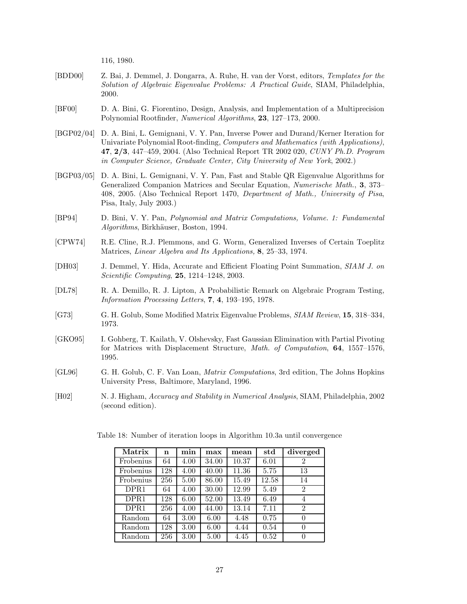116, 1980.

- [BDD00] Z. Bai, J. Demmel, J. Dongarra, A. Ruhe, H. van der Vorst, editors, *Templates for the Solution of Algebraic Eigenvalue Problems: A Practical Guide*, SIAM, Philadelphia, 2000.
- [BF00] D. A. Bini, G. Fiorentino, Design, Analysis, and Implementation of a Multiprecision Polynomial Rootfinder, *Numerical Algorithms*, **23**, 127–173, 2000.
- [BGP02/04] D. A. Bini, L. Gemignani, V. Y. Pan, Inverse Power and Durand/Kerner Iteration for Univariate Polynomial Root-finding, *Computers and Mathematics (with Applications)*, **47**, **2/3**, 447–459, 2004. (Also Technical Report TR 2002 020, *CUNY Ph.D. Program in Computer Science, Graduate Center, City University of New York*, 2002.)
- [BGP03/05] D. A. Bini, L. Gemignani, V. Y. Pan, Fast and Stable QR Eigenvalue Algorithms for Generalized Companion Matrices and Secular Equation, *Numerische Math.*, **3**, 373– 408, 2005. (Also Technical Report 1470, *Department of Math., University of Pisa*, Pisa, Italy, July 2003.)
- [BP94] D. Bini, V. Y. Pan, *Polynomial and Matrix Computations, Volume. 1: Fundamental Algorithms*, Birkh¨auser, Boston, 1994.
- [CPW74] R.E. Cline, R.J. Plemmons, and G. Worm, Generalized Inverses of Certain Toeplitz Matrices, *Linear Algebra and Its Applications,* **8**, 25–33, 1974.
- [DH03] J. Demmel, Y. Hida, Accurate and Efficient Floating Point Summation, *SIAM J. on Scientific Computing*, **25**, 1214–1248, 2003.
- [DL78] R. A. Demillo, R. J. Lipton, A Probabilistic Remark on Algebraic Program Testing, *Information Processing Letters*, **7**, **4**, 193–195, 1978.
- [G73] G. H. Golub, Some Modified Matrix Eigenvalue Problems, *SIAM Review*, **15**, 318–334, 1973.
- [GKO95] I. Gohberg, T. Kailath, V. Olshevsky, Fast Gaussian Elimination with Partial Pivoting for Matrices with Displacement Structure, *Math. of Computation*, **64**, 1557–1576, 1995.
- [GL96] G. H. Golub, C. F. Van Loan, *Matrix Computations*, 3rd edition, The Johns Hopkins University Press, Baltimore, Maryland, 1996.
- [H02] N. J. Higham, *Accuracy and Stability in Numerical Analysis*, SIAM, Philadelphia, 2002 (second edition).

| Matrix           | n   | min               | max   | mean  | std   | diverged       |
|------------------|-----|-------------------|-------|-------|-------|----------------|
| Frobenius        | 64  | 4.00              | 34.00 | 10.37 | 6.01  | 2              |
| Frobenius        | 128 | $\overline{4.00}$ | 40.00 | 11.36 | 5.75  | 13             |
| Frobenius        | 256 | 5.00              | 86.00 | 15.49 | 12.58 | 14             |
| DPR <sub>1</sub> | 64  | 4.00              | 30.00 | 12.99 | 5.49  | $\overline{2}$ |
| DPR <sub>1</sub> | 128 | 6.00              | 52.00 | 13.49 | 6.49  | 4              |
| DPR <sub>1</sub> | 256 | 4.00              | 44.00 | 13.14 | 7.11  | $\overline{2}$ |
| Random           | 64  | 3.00              | 6.00  | 4.48  | 0.75  | 0              |
| Random           | 128 | 3.00              | 6.00  | 4.44  | 0.54  | 0              |
| Random           | 256 | 3.00              | 5.00  | 4.45  | 0.52  | $\Omega$       |

Table 18: Number of iteration loops in Algorithm 10.3a until convergence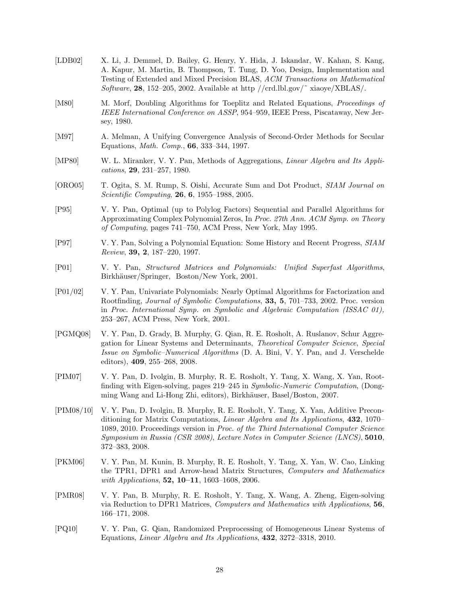| [LDB02]     | X. Li, J. Demmel, D. Bailey, G. Henry, Y. Hida, J. Iskandar, W. Kahan, S. Kang,<br>A. Kapur, M. Martin, B. Thompson, T. Tung, D. Yoo, Design, Implementation and<br>Testing of Extended and Mixed Precision BLAS, ACM Transactions on Mathematical<br><i>Software</i> , <b>28</b> , 152–205, 2002. Available at http //crd.lbl.gov/ $\tilde{\ }$ xiaoye/XBLAS/.                           |
|-------------|-------------------------------------------------------------------------------------------------------------------------------------------------------------------------------------------------------------------------------------------------------------------------------------------------------------------------------------------------------------------------------------------|
| [M80]       | M. Morf, Doubling Algorithms for Toeplitz and Related Equations, Proceedings of<br>IEEE International Conference on ASSP, 954–959, IEEE Press, Piscataway, New Jer-<br>sey, 1980.                                                                                                                                                                                                         |
| [M97]       | A. Melman, A Unifying Convergence Analysis of Second-Order Methods for Secular<br>Equations, <i>Math. Comp.</i> , <b>66</b> , 333-344, 1997.                                                                                                                                                                                                                                              |
| [MP80]      | W. L. Miranker, V. Y. Pan, Methods of Aggregations, <i>Linear Algebra and Its Appli</i> -<br>cations, $29, 231-257, 1980.$                                                                                                                                                                                                                                                                |
| [ORO05]     | T. Ogita, S. M. Rump, S. Oishi, Accurate Sum and Dot Product, SIAM Journal on<br><i>Scientific Computing</i> , <b>26, 6, 1955–1988</b> , 2005.                                                                                                                                                                                                                                            |
| [P95]       | V. Y. Pan, Optimal (up to Polylog Factors) Sequential and Parallel Algorithms for<br>Approximating Complex Polynomial Zeros, In Proc. 27th Ann. ACM Symp. on Theory<br>of Computing, pages 741-750, ACM Press, New York, May 1995.                                                                                                                                                        |
| [P97]       | V. Y. Pan, Solving a Polynomial Equation: Some History and Recent Progress, SIAM<br><i>Review</i> , <b>39, 2</b> , $187-220$ , 1997.                                                                                                                                                                                                                                                      |
| $[$ P01 $]$ | V. Y. Pan, <i>Structured Matrices and Polynomials:</i><br>Unified Superfast Algorithms,<br>Birkhäuser/Springer, Boston/New York, 2001.                                                                                                                                                                                                                                                    |
| $[P01/02]$  | V. Y. Pan, Univariate Polynomials: Nearly Optimal Algorithms for Factorization and<br>Rootfinding, <i>Journal of Symbolic Computations</i> , <b>33, 5</b> , 701–733, 2002. Proc. version<br>in Proc. International Symp. on Symbolic and Algebraic Computation (ISSAC 01),<br>253–267, ACM Press, New York, 2001.                                                                         |
| [PGMQ08]    | V. Y. Pan, D. Grady, B. Murphy, G. Qian, R. E. Rosholt, A. Ruslanov, Schur Aggre-<br>gation for Linear Systems and Determinants, Theoretical Computer Science, Special<br><i>Issue on Symbolic–Numerical Algorithms</i> (D. A. Bini, V. Y. Pan, and J. Verschelde<br>editors), $409, 255-268, 2008$ .                                                                                     |
| [PIM07]     | V. Y. Pan, D. Ivolgin, B. Murphy, R. E. Rosholt, Y. Tang, X. Wang, X. Yan, Root-<br>finding with Eigen-solving, pages 219–245 in Symbolic-Numeric Computation, (Dong-<br>ming Wang and Li-Hong Zhi, editors), Birkhäuser, Basel/Boston, 2007.                                                                                                                                             |
| [PIM08/10]  | V. Y. Pan, D. Ivolgin, B. Murphy, R. E. Rosholt, Y. Tang, X. Yan, Additive Precon-<br>ditioning for Matrix Computations, <i>Linear Algebra and Its Applications</i> , 432, 1070–<br>1089, 2010. Proceedings version in <i>Proc. of the Third International Computer Science</i><br>Symposium in Russia (CSR 2008), Lecture Notes in Computer Science (LNCS), 5010,<br>$372 - 383$ , 2008. |
| [PKM06]     | V. Y. Pan, M. Kunin, B. Murphy, R. E. Rosholt, Y. Tang, X. Yan, W. Cao, Linking<br>the TPR1, DPR1 and Arrow-head Matrix Structures, <i>Computers and Mathematics</i><br>with Applications, $52, 10-11, 1603-1608, 2006$ .                                                                                                                                                                 |
| [PMR08]     | V. Y. Pan, B. Murphy, R. E. Rosholt, Y. Tang, X. Wang, A. Zheng, Eigen-solving<br>via Reduction to DPR1 Matrices, Computers and Mathematics with Applications, 56,<br>$166 - 171, 2008.$                                                                                                                                                                                                  |
| [PQ10]      | V. Y. Pan, G. Qian, Randomized Preprocessing of Homogeneous Linear Systems of<br>Equations, <i>Linear Algebra and Its Applications</i> , 432, 3272-3318, 2010.                                                                                                                                                                                                                            |